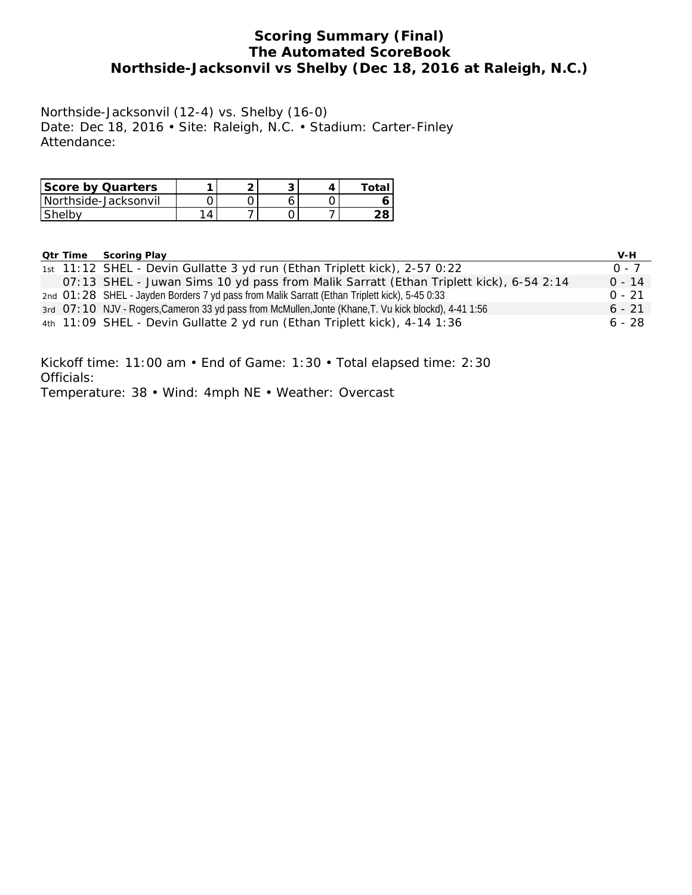## **Scoring Summary (Final) The Automated ScoreBook Northside-Jacksonvil vs Shelby (Dec 18, 2016 at Raleigh, N.C.)**

Northside-Jacksonvil (12-4) vs. Shelby (16-0) Date: Dec 18, 2016 • Site: Raleigh, N.C. • Stadium: Carter-Finley Attendance:

| Score by Quarters      |  |  | ™ota. |
|------------------------|--|--|-------|
| l Northside-Jacksonvil |  |  |       |
| <b>Shelby</b>          |  |  |       |

| <b>Qtr Time Scoring Play</b>                                                                           | V-H      |
|--------------------------------------------------------------------------------------------------------|----------|
| 1st 11:12 SHEL - Devin Gullatte 3 yd run (Ethan Triplett kick), 2-57 0:22                              | $0 - 7$  |
| 07:13 SHEL - Juwan Sims 10 yd pass from Malik Sarratt (Ethan Triplett kick), 6-54 2:14                 | $0 - 14$ |
| 2nd 01:28 SHEL - Jayden Borders 7 yd pass from Malik Sarratt (Ethan Triplett kick), 5-45 0:33          | $0 - 21$ |
| 3rd O7: 10 NJV - Rogers, Cameron 33 yd pass from McMullen, Jonte (Khane, T. Vu kick blockd), 4-41 1:56 | $6 - 21$ |
| 4th 11:09 SHEL - Devin Gullatte 2 yd run (Ethan Triplett kick), 4-14 1:36                              | $6 - 28$ |

Kickoff time: 11:00 am • End of Game: 1:30 • Total elapsed time: 2:30 Officials: Temperature: 38 • Wind: 4mph NE • Weather: Overcast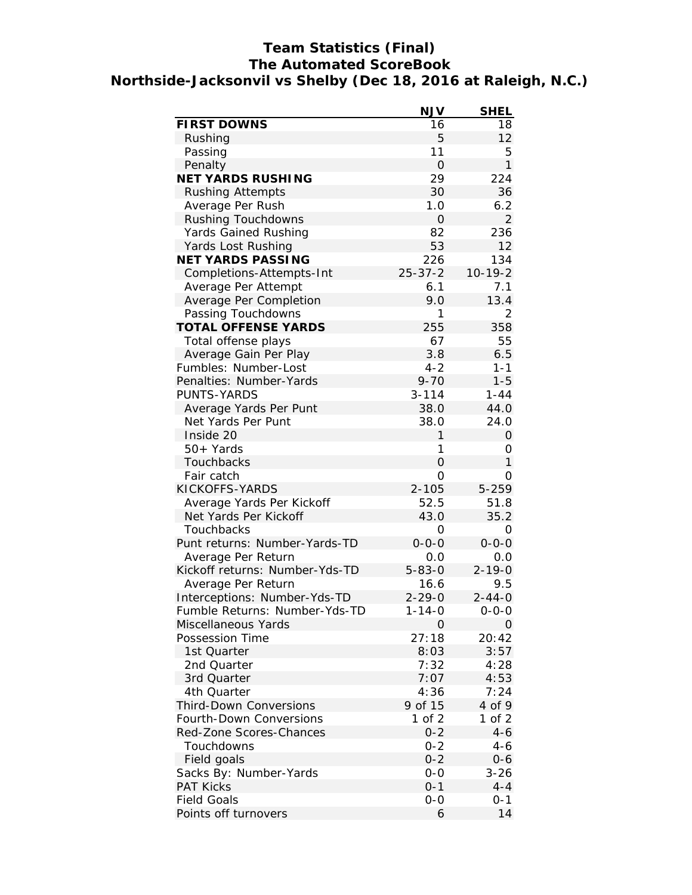## **Team Statistics (Final) The Automated ScoreBook Northside-Jacksonvil vs Shelby (Dec 18, 2016 at Raleigh, N.C.)**

|                                | <b>NJV</b>     | <b>SHEL</b>    |
|--------------------------------|----------------|----------------|
| FIRST DOWNS                    | 16             | 18             |
| Rushing                        | 5              | 12             |
| Passing                        | 11             | 5              |
| Penalty                        | $\overline{O}$ | $\mathbf{1}$   |
| NET YARDS RUSHING              | 29             | 224            |
| <b>Rushing Attempts</b>        | 30             | 36             |
| Average Per Rush               | 1.0            | 6.2            |
| Rushing Touchdowns             | $\mathbf 0$    | $\overline{2}$ |
| Yards Gained Rushing           | 82             | 236            |
| Yards Lost Rushing             | 53             | 12             |
| NET YARDS PASSING              | 226            | 134            |
| Completions-Attempts-Int       | $25 - 37 - 2$  | $10 - 19 - 2$  |
| Average Per Attempt            | 6.1            | 7.1            |
| Average Per Completion         | 9.0            | 13.4           |
| Passing Touchdowns             | 1              | 2              |
| <b>TOTAL OFFENSE YARDS</b>     | 255            | 358            |
| Total offense plays            | 67             | 55             |
| Average Gain Per Play          | 3.8            | 6.5            |
| Fumbles: Number-Lost           | $4 - 2$        | $1 - 1$        |
| Penalties: Number-Yards        | $9 - 70$       | $1 - 5$        |
| PUNTS-YARDS                    | $3 - 114$      | $1 - 44$       |
| Average Yards Per Punt         | 38.0           | 44.0           |
| Net Yards Per Punt             | 38.0           | 24.0           |
| Inside 20                      | 1              | $\overline{O}$ |
| 50+ Yards                      | 1              | 0              |
| Touchbacks                     | $\overline{O}$ | $\mathbf{1}$   |
| Fair catch                     | 0              | O              |
| KICKOFFS-YARDS                 | $2 - 105$      | $5 - 259$      |
| Average Yards Per Kickoff      | 52.5           | 51.8           |
| Net Yards Per Kickoff          | 43.0           | 35.2           |
| Touchbacks                     | 0              | $\Omega$       |
| Punt returns: Number-Yards-TD  | $0 - 0 - 0$    | $0 - 0 - 0$    |
| Average Per Return             | 0.0            | 0.0            |
| Kickoff returns: Number-Yds-TD | $5 - 83 - 0$   | $2 - 19 - 0$   |
| Average Per Return             | 16.6           | 9.5            |
| Interceptions: Number-Yds-TD   | $2 - 29 - 0$   | $2 - 44 - 0$   |
| Fumble Returns: Number-Yds-TD  | $1 - 14 - 0$   | $0 - 0 - 0$    |
| Miscellaneous Yards            | 0              | 0              |
| Possession Time                | 27:18          | 20:42          |
| 1st Quarter                    | 8:03           | 3:57           |
| 2nd Quarter                    | 7:32           | 4:28           |
| 3rd Quarter                    | 7:07           | 4:53           |
| 4th Quarter                    | 4:36           | 7:24           |
| <b>Third-Down Conversions</b>  | 9 of 15        | 4 of 9         |
| Fourth-Down Conversions        | 1 of 2         | 1 of 2         |
| Red-Zone Scores-Chances        | $0 - 2$        | $4 - 6$        |
| Touchdowns                     | $0 - 2$        | 4-6            |
| Field goals                    | $0 - 2$        | 0-6            |
| Sacks By: Number-Yards         | $0 - 0$        | $3 - 26$       |
| <b>PAT Kicks</b>               | $0 - 1$        | $4 - 4$        |
| <b>Field Goals</b>             | $O-O$          | 0-1            |
| Points off turnovers           | 6              | 14             |
|                                |                |                |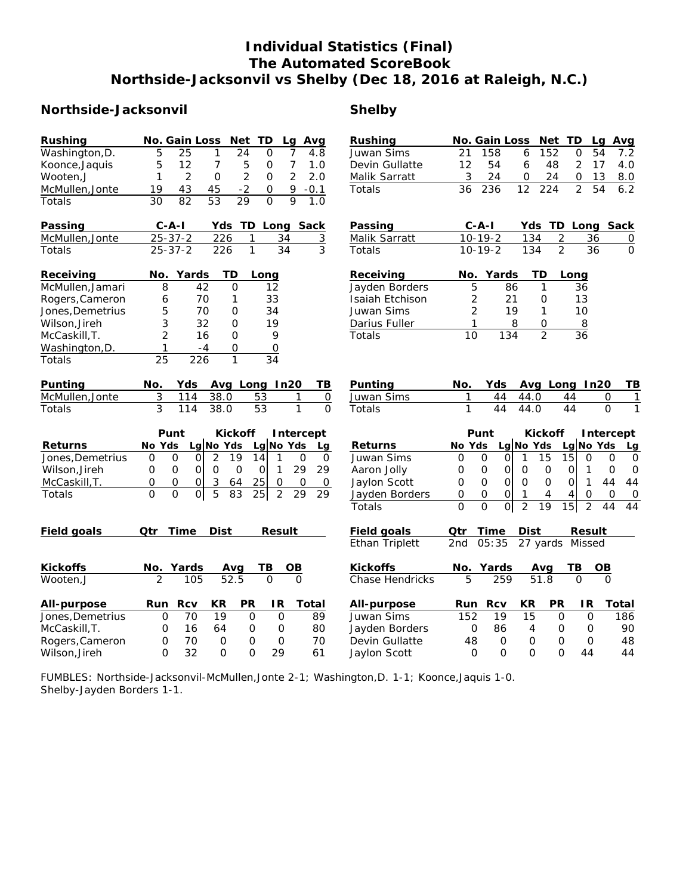# **Individual Statistics (Final) The Automated ScoreBook Northside-Jacksonvil vs Shelby (Dec 18, 2016 at Raleigh, N.C.)**

## **Northside-Jacksonvil Shelby**

| Rushing          | Net<br>No. Gain Loss<br>TD<br>Avg<br>Lg                                                                                          | Rushing                | Net<br>No. Gain Loss<br>TD<br>Avg<br>Lg                                                                         |
|------------------|----------------------------------------------------------------------------------------------------------------------------------|------------------------|-----------------------------------------------------------------------------------------------------------------|
| Washington, D.   | 5<br>25<br>1<br>24<br>7<br>$\Omega$<br>4.8                                                                                       | Juwan Sims             | 21<br>158<br>6<br>152<br>$\overline{O}$<br>54<br>7.2                                                            |
| Koonce, Jaquis   | 5<br>12<br>$\overline{7}$<br>5<br>7<br>1.0<br>$\circ$                                                                            | Devin Gullatte         | 12<br>$\overline{2}$<br>54<br>6<br>48<br>17<br>4.0                                                              |
| Wooten, J        | 1<br>$\overline{2}$<br>$\overline{2}$<br>$\overline{2}$<br>2.0<br>$\mathbf{O}$<br>0                                              | Malik Sarratt          | 24<br>13<br>3<br>24<br>0<br>0<br>8.0                                                                            |
| McMullen, Jonte  | $-2$<br>19<br>43<br>45<br>9<br>$-0.1$<br>0                                                                                       | Totals                 | 12<br>$\overline{2}$<br>54<br>6.2<br>36<br>236<br>224                                                           |
| Totals           | $\overline{82}$<br>$\overline{53}$<br>$\overline{29}$<br>$\overline{Q}$<br>$\overline{30}$<br>$\overline{O}$<br>$\overline{1.0}$ |                        |                                                                                                                 |
| Passing          | $C - A - I$<br>Yds<br>TD<br>Long Sack                                                                                            | Passing                | $C - A - I$<br>Yds<br>TD.<br>Long<br>Sack                                                                       |
| McMullen, Jonte  | $25 - 37 - 2$<br>226<br>1<br>34<br>$\overline{3}$                                                                                | Malik Sarratt          | $\overline{2}$<br>$10 - 19 - 2$<br>134<br>36<br>$\overline{0}$                                                  |
| Totals           | $\overline{1}$<br>$\overline{3}$<br>$25 - 37 - 2$<br>226<br>34                                                                   | Totals                 | $\overline{2}$<br>$\overline{0}$<br>134<br>36<br>$10-19-2$                                                      |
| Receiving        | No.<br>Yards<br>ТD<br>Long                                                                                                       | Receiving              | No.<br>Yards<br>TD<br>Long                                                                                      |
| McMullen, Jamari | 8<br>42<br>$\Omega$<br>12                                                                                                        | Jayden Borders         | 5<br>86<br>1<br>36                                                                                              |
| Rogers, Cameron  | 70<br>33<br>6<br>1                                                                                                               | Isaiah Etchison        | 21<br>$\overline{2}$<br>13<br>$\circ$                                                                           |
| Jones, Demetrius | 5<br>34<br>70<br>O                                                                                                               | Juwan Sims             | 2<br>19<br>1<br>10                                                                                              |
| Wilson, Jireh    | 3<br>32<br>$\mathbf{O}$<br>19                                                                                                    | Darius Fuller          | 1<br>8<br>$\mathsf{O}$<br>8                                                                                     |
| McCaskill, T.    | 2<br>16<br>$\mathbf{O}$<br>9                                                                                                     | Totals                 | $\overline{2}$<br>10<br>134<br>36                                                                               |
| Washington, D.   | 1<br>$-4$<br>0<br>$\overline{O}$                                                                                                 |                        |                                                                                                                 |
| Totals           | 25<br>226<br>$\mathbf{1}$<br>34                                                                                                  |                        |                                                                                                                 |
| Punting          | Avg Long In20<br>No.<br>Yds<br>ΤB                                                                                                | Punting                | In20<br>TB<br>No.<br>Yds<br>Avg Long                                                                            |
| McMullen, Jonte  | 3<br>114<br>38.0<br>53<br>$\overline{0}$<br>1                                                                                    | Juwan Sims             | 1<br>44<br>44.0<br>44<br>$\mathbf{O}$<br>1                                                                      |
| Totals           | $\overline{3}$<br>$\overline{0}$<br>$\overline{53}$<br>$\mathbf{1}$<br>114<br>38.0                                               | Totals                 | $\mathbf{1}$<br>$\overline{44}$<br>44.0<br>$\overline{44}$<br>$\overline{O}$<br>$\mathbf{1}$                    |
|                  |                                                                                                                                  |                        |                                                                                                                 |
|                  | Punt<br>Kickoff<br>Intercept                                                                                                     |                        | Punt<br>Kickoff<br>Intercept                                                                                    |
| Returns          | Lg No Yds<br>No Yds<br>Lg No Yds<br>La                                                                                           | Returns                | Lg No Yds<br>Lg $No$ Yds<br>No Yds<br>Lq                                                                        |
| Jones, Demetrius | 2<br>19<br>14<br>$\Omega$<br>$\circ$<br>1<br>$\mathsf{O}$<br>$\mathsf{O}$<br>$\Omega$                                            | Juwan Sims             | $\mathbf 0$<br>$\Omega$<br>$\mathbf{1}$<br>15<br>15<br>$\Omega$<br>$\overline{O}$<br>$\mathbf{O}$<br>$\Omega$   |
| Wilson, Jireh    | $\mathsf O$<br>$\Omega$<br>$\Omega$<br>$\mathbf 0$<br>$\mathbf{1}$<br>29<br>29<br>0<br>$\mathbf 0$                               | Aaron Jolly            | $\mathbf 0$<br>$\mathbf 0$<br>0<br>$\mathbf 0$<br>$\mathbf 0$<br>$\mathbf 0$<br>$\Omega$<br>1<br>$\mathbf 0$    |
| McCaskill, T.    | 3<br>25<br>0<br>0<br>0<br>$\circ$<br>64<br>0<br>0                                                                                | Jaylon Scott           | $\mathsf O$<br>$\mathbf 0$<br>$\mathsf{O}$<br>$\Omega$<br>$\mathbf{1}$<br>44<br>0<br>$\mathbf 0$<br>44          |
| Totals           | $\overline{0}$<br>$\Omega$<br>$\overline{5}$<br>$\Omega$<br>83<br>$\overline{25}$<br>$\overline{2}$<br>29<br>29                  | Jayden Borders         | $\mathsf O$<br>0<br>0<br>1<br>4<br>4<br>0<br>0<br>O                                                             |
|                  |                                                                                                                                  | Totals                 | $\overline{2}$<br>$\Omega$<br>$\overline{O}$<br>$\overline{15}$<br>$\Omega$<br>19<br>$\overline{2}$<br>44<br>44 |
| Field goals      | Time<br>Dist<br>Qtr<br>Result                                                                                                    | Field goals            | Qtr<br>Time<br>Dist<br>Result                                                                                   |
|                  |                                                                                                                                  | Ethan Triplett         | 05:35<br>2nd<br>27 yards<br>Missed                                                                              |
| Kickoffs         | Yards<br>TВ<br>OB<br>Avg<br>No.                                                                                                  | Kickoffs               | Yards<br>TВ<br>No.<br>Ava<br>OВ                                                                                 |
| Wooten, J        | 52.5<br>$\overline{2}$<br>105<br>$\Omega$<br>$\Omega$                                                                            | <b>Chase Hendricks</b> | 5<br>259<br>51.8<br>$\Omega$<br>$\Omega$                                                                        |
| All-purpose      | Rcv<br>KR.<br>PR<br>IR<br>Total<br>Run                                                                                           | All-purpose            | KR<br><b>PR</b><br>IR<br>Total<br>Run<br>Rcv                                                                    |
| Jones, Demetrius | $\mathsf{O}$<br>70<br>19<br>$\mathsf{O}\xspace$<br>$\mathsf{O}$<br>89                                                            | Juwan Sims             | 152<br>19<br>15<br>$\mathsf{O}$<br>$\mathsf O$<br>186                                                           |
| McCaskill, T.    | 16<br>64<br>0<br>80<br>0<br>0                                                                                                    | Jayden Borders         | 0<br>86<br>$\circ$<br>$\circ$<br>90<br>4                                                                        |
| Rogers, Cameron  | $\mathbf 0$<br>70<br>0<br>70<br>$\mathbf{O}$<br>$\mathbf 0$                                                                      | Devin Gullatte         | 48<br>$\mathcal{O}$<br>$\mathsf{O}$<br>$\mathbf 0$<br>$\circ$<br>48                                             |
|                  |                                                                                                                                  |                        |                                                                                                                 |

FUMBLES: Northside-Jacksonvil-McMullen,Jonte 2-1; Washington,D. 1-1; Koonce,Jaquis 1-0. Shelby-Jayden Borders 1-1.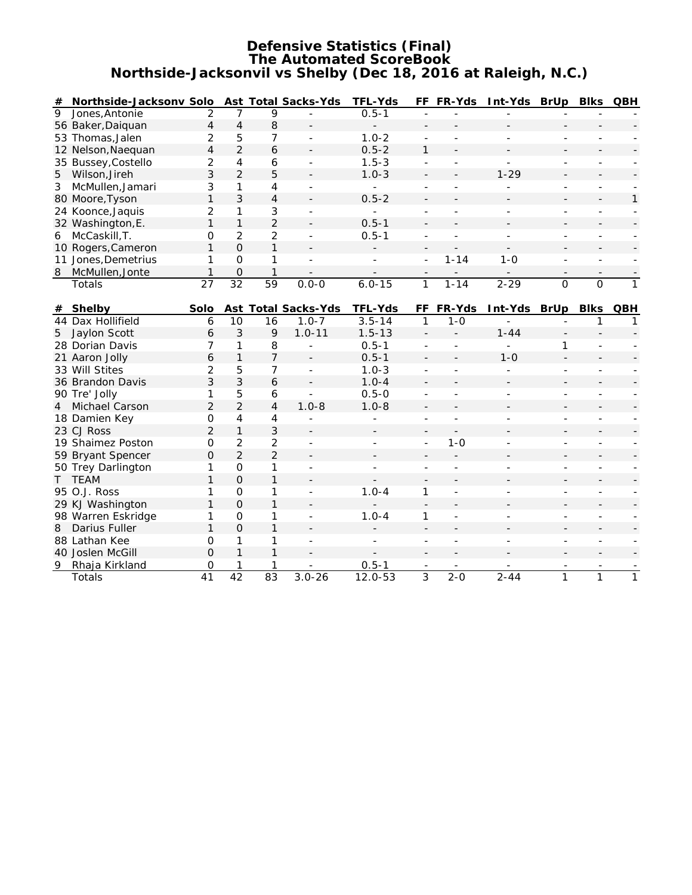#### **Defensive Statistics (Final) The Automated ScoreBook Northside-Jacksonvil vs Shelby (Dec 18, 2016 at Raleigh, N.C.)**

| #              | Northside-Jacksonv Solo |                 |                     |                 | Ast Total Sacks-Yds      | TFL-Yds                  |                          | FF FR-Yds | Int-Yds BrUp             |                | <b>Blks</b>              | QBH          |
|----------------|-------------------------|-----------------|---------------------|-----------------|--------------------------|--------------------------|--------------------------|-----------|--------------------------|----------------|--------------------------|--------------|
| $\overline{9}$ | Jones, Antonie          | $\overline{2}$  | 7                   | 9               |                          | $0.5 - 1$                |                          |           |                          |                |                          |              |
|                | 56 Baker, Daiquan       | $\overline{4}$  | $\overline{4}$      | 8               |                          |                          |                          |           |                          |                |                          |              |
|                | 53 Thomas, Jalen        | $\overline{2}$  | 5                   | 7               |                          | $1.0 - 2$                |                          |           |                          |                |                          |              |
|                | 12 Nelson, Naequan      | $\overline{4}$  | $\overline{2}$      | 6               |                          | $0.5 - 2$                | $\mathbf{1}$             |           |                          |                |                          |              |
|                | 35 Bussey, Costello     | $\overline{2}$  | 4                   | 6               |                          | $1.5 - 3$                | $\overline{a}$           |           | $\overline{a}$           |                |                          |              |
| 5              | Wilson, Jireh           | 3               | $\overline{2}$      | 5               |                          | $1.0 - 3$                |                          |           | $1 - 29$                 |                |                          |              |
| $\mathfrak{Z}$ | McMullen, Jamari        | 3               | 1                   | 4               |                          |                          |                          |           |                          |                |                          |              |
|                | 80 Moore, Tyson         | $\mathbf{1}$    | 3                   | $\overline{4}$  |                          | $0.5 - 2$                |                          |           |                          |                |                          | 1            |
|                | 24 Koonce, Jaquis       | $\overline{2}$  | 1                   | 3               |                          | $\overline{\phantom{a}}$ |                          |           | L,                       |                | $\overline{\phantom{a}}$ |              |
|                | 32 Washington, E.       | $\mathbf{1}$    | $\mathbf{1}$        | $\overline{2}$  |                          | $0.5 - 1$                |                          |           |                          |                |                          |              |
| 6              | McCaskill, T.           | O               | 2                   | $\overline{2}$  | $\overline{a}$           | $0.5 - 1$                |                          |           | $\overline{a}$           |                |                          |              |
|                | 10 Rogers, Cameron      | 1               | $\mathbf{O}$        | 1               |                          |                          |                          |           |                          |                |                          |              |
|                | 11 Jones, Demetrius     | 1               | $\mathbf{O}$        | 1               | $\overline{\phantom{a}}$ | $\overline{a}$           | $\overline{\phantom{a}}$ | $1 - 14$  | $1 - 0$                  | ÷.             | $\overline{\phantom{a}}$ |              |
| 8              | McMullen, Jonte         | $\mathbf{1}$    | $\overline{O}$      | $\mathbf{1}$    |                          |                          |                          |           |                          | $\overline{a}$ |                          |              |
|                | Totals                  | $\overline{27}$ | $\overline{32}$     | $\overline{59}$ | $0.0 - 0$                | $6.0 - 15$               | $\mathbf{1}$             | $1 - 14$  | $2 - 29$                 | $\Omega$       | $\Omega$                 | $\mathbf{1}$ |
|                |                         |                 |                     |                 |                          |                          |                          |           |                          |                |                          |              |
| #              | Shelby                  | Solo            |                     |                 | Ast Total Sacks-Yds      | TFL-Yds                  | FF                       | FR-Yds    | Int-Yds BrUp             |                | <b>Blks</b>              | QBH          |
|                | 44 Dax Hollifield       | 6               | 10                  | 16              | $1.0 - 7$                | $3.5 - 14$               | 1                        | $1 - 0$   |                          |                | 1                        | $\mathbf{1}$ |
| 5              | Jaylon Scott            | 6               | 3                   | 9               | $1.0 - 11$               | $1.5 - 13$               |                          |           | $1 - 44$                 |                |                          |              |
|                | 28 Dorian Davis         | 7               | 1                   | 8               |                          | $0.5 - 1$                | $\overline{\phantom{a}}$ |           | $\overline{\phantom{a}}$ | 1              |                          |              |
|                | 21 Aaron Jolly          | 6               | $\mathbf{1}$        | 7               |                          | $0.5 - 1$                |                          |           | $1 - 0$                  |                |                          |              |
|                | 33 Will Stites          | $\overline{2}$  | 5                   | 7               | $\sim$                   | $1.0 - 3$                |                          |           | L.                       |                |                          |              |
|                | 36 Brandon Davis        | 3               | 3                   | 6               |                          | $1.0 - 4$                |                          |           |                          |                |                          |              |
|                | 90 Tre' Jolly           | 1               | 5                   | 6               |                          | $0.5 - 0$                |                          |           |                          |                |                          |              |
| $\overline{4}$ | Michael Carson          | $\overline{2}$  | $\overline{2}$      | $\overline{4}$  | $1.0 - 8$                | $1.0 - 8$                |                          |           |                          |                |                          |              |
|                | 18 Damien Key           | $\mathbf{O}$    | 4                   | 4               |                          | $\overline{a}$           | $\overline{a}$           | L.        |                          | ÷.             | Ξ.                       |              |
|                | 23 CJ Ross              | $\overline{2}$  | $\mathbf{1}$        | 3               |                          |                          |                          |           |                          |                |                          |              |
|                | 19 Shaimez Poston       | $\Omega$        | $\overline{2}$      | $\overline{2}$  | $\overline{\phantom{a}}$ | ÷.                       | $\overline{\phantom{a}}$ | $1 - 0$   | L.                       | ÷.             | $\overline{\phantom{a}}$ |              |
|                | 59 Bryant Spencer       | $\mathbf 0$     | $\overline{2}$      | $\overline{2}$  |                          |                          |                          |           |                          |                |                          |              |
|                | 50 Trey Darlington      | 1               | $\mathsf{O}\xspace$ | 1               | $\overline{\phantom{a}}$ | ÷,                       |                          |           |                          | ÷.             |                          |              |
|                | T TEAM                  | $\mathbf{1}$    | $\overline{O}$      | 1               |                          |                          |                          |           |                          |                |                          |              |
|                | 95 O.J. Ross            | 1               | $\mathbf 0$         | 1               |                          | $1.0 - 4$                | 1                        |           |                          |                |                          |              |
|                | 29 KJ Washington        | $\mathbf{1}$    | $\mathbf{O}$        | 1               |                          |                          | $\overline{\phantom{a}}$ |           |                          |                |                          |              |
|                | 98 Warren Eskridge      | 1               | $\mathsf{O}\xspace$ | 1               | $\overline{\phantom{a}}$ | $1.0 - 4$                | 1                        |           |                          |                |                          |              |
| 8              | Darius Fuller           | $\mathbf{1}$    | $\overline{O}$      | 1               |                          |                          |                          |           |                          |                |                          |              |
|                | 88 Lathan Kee           | $\mathbf 0$     | 1                   | 1               |                          |                          |                          |           |                          |                |                          |              |
|                | 40 Joslen McGill        | $\Omega$        | $\mathbf{1}$        | $\mathbf{1}$    |                          |                          |                          |           |                          |                |                          |              |
| 9              | Rhaja Kirkland          | $\mathbf 0$     | 1                   | 1               |                          | $0.5 - 1$                |                          |           |                          |                |                          |              |
|                | Totals                  | 41              | 42                  | $\overline{83}$ | $3.0 - 26$               | $12.0 - 53$              | 3                        | $2 - 0$   | $2 - 44$                 | $\mathbf{1}$   | 1                        | 1            |
|                |                         |                 |                     |                 |                          |                          |                          |           |                          |                |                          |              |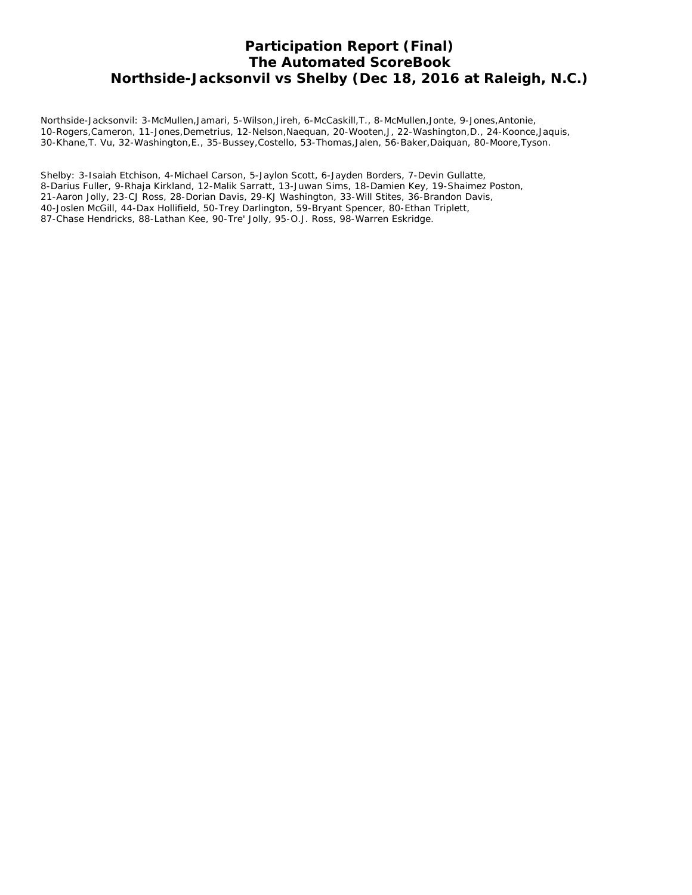## **Participation Report (Final) The Automated ScoreBook Northside-Jacksonvil vs Shelby (Dec 18, 2016 at Raleigh, N.C.)**

Northside-Jacksonvil: 3-McMullen,Jamari, 5-Wilson,Jireh, 6-McCaskill,T., 8-McMullen,Jonte, 9-Jones,Antonie, 10-Rogers,Cameron, 11-Jones,Demetrius, 12-Nelson,Naequan, 20-Wooten,J, 22-Washington,D., 24-Koonce,Jaquis, 30-Khane,T. Vu, 32-Washington,E., 35-Bussey,Costello, 53-Thomas,Jalen, 56-Baker,Daiquan, 80-Moore,Tyson.

Shelby: 3-Isaiah Etchison, 4-Michael Carson, 5-Jaylon Scott, 6-Jayden Borders, 7-Devin Gullatte, 8-Darius Fuller, 9-Rhaja Kirkland, 12-Malik Sarratt, 13-Juwan Sims, 18-Damien Key, 19-Shaimez Poston, 21-Aaron Jolly, 23-CJ Ross, 28-Dorian Davis, 29-KJ Washington, 33-Will Stites, 36-Brandon Davis, 40-Joslen McGill, 44-Dax Hollifield, 50-Trey Darlington, 59-Bryant Spencer, 80-Ethan Triplett, 87-Chase Hendricks, 88-Lathan Kee, 90-Tre' Jolly, 95-O.J. Ross, 98-Warren Eskridge.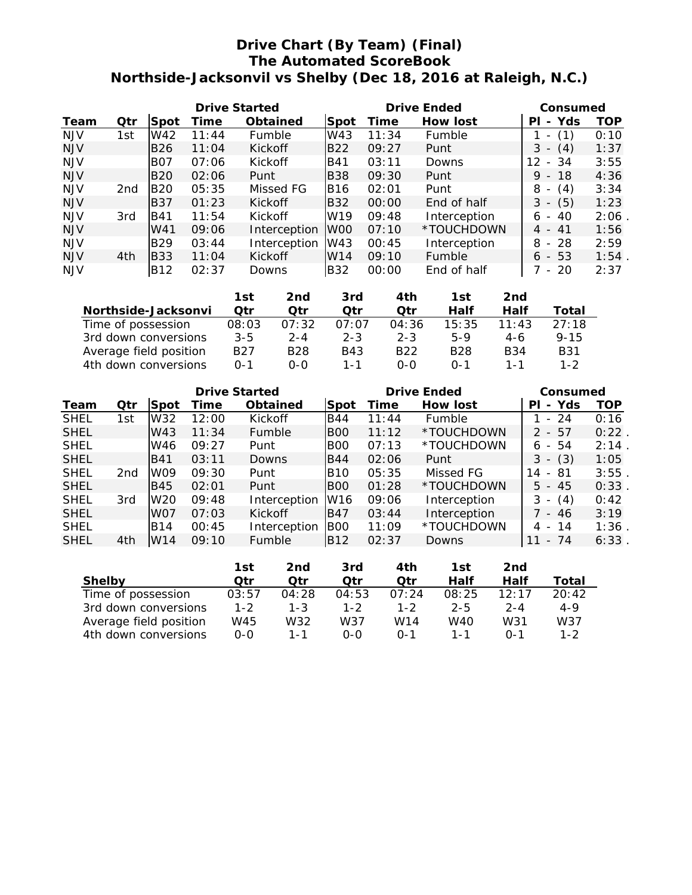## **Drive Chart (By Team) (Final) The Automated ScoreBook Northside-Jacksonvil vs Shelby (Dec 18, 2016 at Raleigh, N.C.)**

| <b>Drive Started</b> |                                                                                                                                                                                                                               |            |       |               |                      |                             | Drive Ended |                      |              |                                              |     | Consumed                        |            |
|----------------------|-------------------------------------------------------------------------------------------------------------------------------------------------------------------------------------------------------------------------------|------------|-------|---------------|----------------------|-----------------------------|-------------|----------------------|--------------|----------------------------------------------|-----|---------------------------------|------------|
| Team                 | Otr                                                                                                                                                                                                                           | Spot       | Time  | Obtained      |                      | Spot                        | Time        |                      | How lost     |                                              | ΡI  | - Yds                           | <b>TOP</b> |
| <b>NJV</b>           | 1st                                                                                                                                                                                                                           | W42        | 11:44 | Fumble        |                      | W43                         | 11:34       |                      | Fumble       |                                              | 1 - | (1)                             | 0:10       |
| <b>NJV</b>           |                                                                                                                                                                                                                               | <b>B26</b> | 11:04 | Kickoff       |                      | <b>B22</b>                  | 09:27       |                      | Punt         |                                              |     | $3 - (4)$                       | 1:37       |
| <b>NJV</b>           |                                                                                                                                                                                                                               | <b>B07</b> | 07:06 | Kickoff       |                      | <b>B41</b>                  | 03:11       |                      | Downs        |                                              |     | $12 - 34$                       | 3:55       |
| <b>NJV</b>           |                                                                                                                                                                                                                               | <b>B20</b> | 02:06 | Punt          |                      | <b>B38</b>                  | 09:30       |                      | Punt         |                                              |     | $9 - 18$                        | 4:36       |
| <b>NJV</b>           | 2nd                                                                                                                                                                                                                           | <b>B20</b> | 05:35 |               | Missed FG            | <b>B16</b>                  | 02:01       |                      | Punt         |                                              | 8   | (4)<br>$\overline{\phantom{a}}$ | 3:34       |
| <b>NJV</b>           |                                                                                                                                                                                                                               | <b>B37</b> | 01:23 | Kickoff       |                      | <b>B32</b>                  | 00:00       |                      | End of half  |                                              |     | $3 - (5)$                       | 1:23       |
| <b>NJV</b>           | 3rd                                                                                                                                                                                                                           | <b>B41</b> | 11:54 | Kickoff       |                      | W <sub>19</sub>             | 09:48       |                      | Interception |                                              | 6 - | 40                              | 2:06       |
| <b>NJV</b>           |                                                                                                                                                                                                                               | W41        | 09:06 |               | Interception         | W <sub>00</sub>             | 07:10       |                      | *TOUCHDOWN   |                                              |     | $4 - 41$                        | 1:56       |
| <b>NJV</b>           |                                                                                                                                                                                                                               | <b>B29</b> | 03:44 |               | Interception         | W43                         | 00:45       |                      | Interception |                                              |     | $8 - 28$                        | 2:59       |
| <b>NJV</b>           | 4th                                                                                                                                                                                                                           | <b>B33</b> | 11:04 | Kickoff       |                      | W14                         | 09:10       |                      | Fumble       |                                              |     | $6 - 53$                        | 1:54       |
| <b>NJV</b>           |                                                                                                                                                                                                                               | <b>B12</b> | 02:37 | Downs         |                      | <b>B32</b>                  | 00:00       |                      | End of half  |                                              |     | - 20                            | 2:37       |
|                      |                                                                                                                                                                                                                               |            |       | 1st           | 2nd                  | 3rd                         |             | 4th                  | 1st          | 2 <sub>nd</sub>                              |     |                                 |            |
|                      | Northside-Jacksonvi                                                                                                                                                                                                           |            |       | Qtr           | Qtr                  | Otr                         |             | Qtr                  | Half         | Half                                         |     | Total                           |            |
|                      | The control of the control of the control of the control of the control of the control of the control of the control of the control of the control of the control of the control of the control of the control of the control |            |       | $\sim$ $\sim$ | $\sim$ $\sim$ $\sim$ | $\sim$ $\sim$ $\sim$ $\sim$ |             | $\sim$ $\sim$ $\sim$ | 1 F. O.F.    | $\begin{array}{ccc}\n1 & 1 & 1\n\end{array}$ |     | $\sim$ $\sim$ $\sim$            |            |

| <u>INULUISIUE-JAUNSUIIVI</u> | \ <i>\</i> I I | .     | .       | ,,,,            | пан             | пан           | 1 0 1 1 1 1 |
|------------------------------|----------------|-------|---------|-----------------|-----------------|---------------|-------------|
| Time of possession           | 08:03          | 07:32 | 07:07   | 04:36           | 15:35           | $11 \cdot 43$ | 27:18       |
| 3rd down conversions         | 3-5            | 2-4   | $2 - 3$ | $2 - 3$         | 5-9             | 4-6           | $9 - 15$    |
| Average field position       | B27            | B28   | B43     | B <sub>22</sub> | B <sub>28</sub> | <b>B</b> 34   | B31         |
| 4th down conversions         | $0 - 1$        | റ-റ   | $1 - 1$ | $(1 - 1)$       | በ-1             | 1 - 1         | 1-2         |
|                              |                |       |         |                 |                 |               |             |

|             |     |                 | Drive Started |              |            | Drive Ended | Consumed     |                                       |      |
|-------------|-----|-----------------|---------------|--------------|------------|-------------|--------------|---------------------------------------|------|
| Team        | Qtr | Spot            | Time          | Obtained     | Spot       | Time        | How lost     | Yds<br>PI<br>$\overline{\phantom{0}}$ | TOP  |
| <b>SHEL</b> | 1st | W32             | 12:00         | Kickoff      | <b>B44</b> | 11:44       | Fumble       | $-24$                                 | 0:16 |
| <b>SHEL</b> |     | W43             | 11:34         | Fumble       | <b>BOO</b> | 11:12       | *TOUCHDOWN   | $2 - 57$                              | 0:22 |
| <b>SHEL</b> |     | W46             | 09:27         | Punt         | <b>BOO</b> | 07:13       | *TOUCHDOWN   | $6 - 54$                              | 2:14 |
| <b>SHEL</b> |     | <b>IB41</b>     | 03:11         | Downs        | <b>B44</b> | 02:06       | Punt         | (3)<br>3                              | 1:05 |
| <b>SHEL</b> | 2nd | W <sub>09</sub> | 09:30         | Punt         | <b>B10</b> | 05:35       | Missed FG    | - 81<br>14                            | 3:55 |
| <b>SHEL</b> |     | <b>B45</b>      | 02:01         | Punt         | <b>B00</b> | 01:28       | *TOUCHDOWN   | $5 - 45$                              | 0:33 |
| <b>SHEL</b> | 3rd | W <sub>20</sub> | 09:48         | Interception | W16        | 09:06       | Interception | (4)<br>3                              | 0:42 |
| <b>SHEL</b> |     | WO7             | 07:03         | Kickoff      | <b>B47</b> | 03:44       | Interception | - 46                                  | 3:19 |
| <b>SHEL</b> |     | <b>B14</b>      | 00:45         | Interception | <b>B00</b> | 11:09       | *TOUCHDOWN   | 4 - 14                                | 1:36 |
| <b>SHEL</b> | 4th | W14             | 09:10         | Fumble       | <b>B12</b> | 02:37       | Downs        | - 74<br>11                            | 6:33 |
|             |     |                 |               |              |            |             |              |                                       |      |

|                        | 1st     | 2nd     | 3rd     | 4th             | 1st.    | 2nd     |         |
|------------------------|---------|---------|---------|-----------------|---------|---------|---------|
| Shelby                 | ∩tr     | ∩tr     | ∩tr     | ∩tr             | Half    | Half    | Total   |
| Time of possession     | 03:57   | 04:28   | 04:53   | 07.24           | 08:25   | 12.17   | 20:42   |
| 3rd down conversions   | $1 - 2$ | $1 - 3$ | $1 - 2$ | $1 - 2$         | $2 - 5$ | $2 - 4$ | $4 - 9$ |
| Average field position | W45     | W32     | W37     | W <sub>14</sub> | W40     | W31     | W37     |
| 4th down conversions   | റ-റ     | $1 - 1$ | റ-റ     | $0 - 1$         | 1 - 1   |         | $1 - 2$ |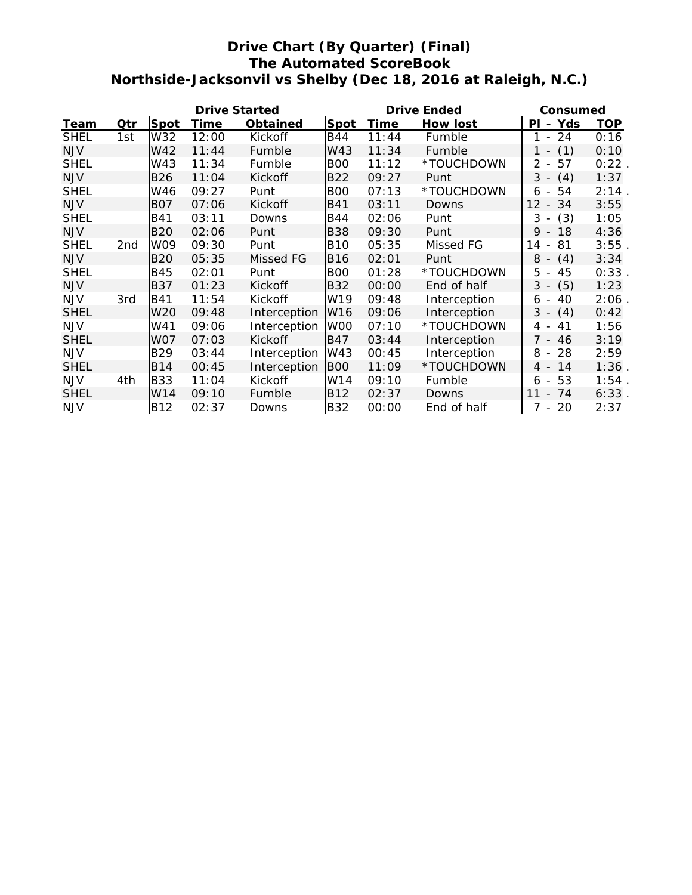## **Drive Chart (By Quarter) (Final) The Automated ScoreBook Northside-Jacksonvil vs Shelby (Dec 18, 2016 at Raleigh, N.C.)**

|             |     |                 | <b>Drive Started</b> |              |                 | Drive Ended | Consumed     |                                      |            |
|-------------|-----|-----------------|----------------------|--------------|-----------------|-------------|--------------|--------------------------------------|------------|
| Team        | Qtr | Spot            | Time                 | Obtained     | Spot            | Time        | How lost     | - Yds<br>PL                          | <b>TOP</b> |
| <b>SHEL</b> | 1st | W32             | 12:00                | Kickoff      | B44             | 11:44       | Fumble       | 24<br>1<br>$\sim$                    | 0:16       |
| <b>NJV</b>  |     | W42             | 11:44                | Fumble       | W43             | 11:34       | Fumble       | (1)<br>$1 -$                         | 0:10       |
| <b>SHEL</b> |     | W43             | 11:34                | Fumble       | <b>BOO</b>      | 11:12       | *TOUCHDOWN   | 57<br>2<br>$\bar{a}$                 | 0:22       |
| <b>NJV</b>  |     | <b>B26</b>      | 11:04                | Kickoff      | <b>B22</b>      | 09:27       | Punt         | (4)<br>$3 -$                         | 1:37       |
| <b>SHEL</b> |     | W46             | 09:27                | Punt         | <b>BOO</b>      | 07:13       | *TOUCHDOWN   | 54<br>6 -                            | 2:14       |
| <b>NJV</b>  |     | <b>BO7</b>      | 07:06                | Kickoff      | <b>B41</b>      | 03:11       | Downs        | $12 -$<br>34                         | 3:55       |
| <b>SHEL</b> |     | B41             | 03:11                | Downs        | B44             | 02:06       | Punt         | (3)<br>3<br>$\overline{\phantom{a}}$ | 1:05       |
| <b>NJV</b>  |     | <b>B20</b>      | 02:06                | Punt         | <b>B38</b>      | 09:30       | Punt         | $9 -$<br>18                          | 4:36       |
| <b>SHEL</b> | 2nd | W09             | 09:30                | Punt         | <b>B10</b>      | 05:35       | Missed FG    | 81<br>14<br>$\sim$                   | 3:55       |
| <b>NJV</b>  |     | <b>B20</b>      | 05:35                | Missed FG    | <b>B16</b>      | 02:01       | Punt         | (4)<br>$8 -$                         | 3:34       |
| <b>SHEL</b> |     | B45             | 02:01                | Punt         | <b>BOO</b>      | 01:28       | *TOUCHDOWN   | $5 -$<br>45                          | 0:33       |
| <b>NJV</b>  |     | <b>B37</b>      | 01:23                | Kickoff      | <b>B32</b>      | 00:00       | End of half  | (5)<br>$3 -$                         | 1:23       |
| <b>NJV</b>  | 3rd | <b>B41</b>      | 11:54                | Kickoff      | W19             | 09:48       | Interception | 40<br>6<br>$\overline{\phantom{a}}$  | 2:06       |
| <b>SHEL</b> |     | W <sub>20</sub> | 09:48                | Interception | W16             | 09:06       | Interception | (4)<br>$3 -$                         | 0:42       |
| <b>NJV</b>  |     | W41             | 09:06                | Interception | W <sub>00</sub> | 07:10       | *TOUCHDOWN   | 4 -<br>41                            | 1:56       |
| <b>SHEL</b> |     | W07             | 07:03                | Kickoff      | <b>B47</b>      | 03:44       | Interception | $7 -$<br>46                          | 3:19       |
| <b>NJV</b>  |     | <b>B29</b>      | 03:44                | Interception | W43             | 00:45       | Interception | 8<br>28<br>$\sim$                    | 2:59       |
| <b>SHEL</b> |     | <b>B14</b>      | 00:45                | Interception | <b>BOO</b>      | 11:09       | *TOUCHDOWN   | 14<br>$4 -$                          | 1:36       |
| <b>NJV</b>  | 4th | <b>B33</b>      | 11:04                | Kickoff      | W14             | 09:10       | Fumble       | 53<br>6<br>$\sim$                    | 1:54       |
| <b>SHEL</b> |     | W14             | 09:10                | Fumble       | <b>B12</b>      | 02:37       | Downs        | 11<br>74<br>$\overline{\phantom{a}}$ | 6:33       |
| <b>NJV</b>  |     | B12             | 02:37                | Downs        | <b>B32</b>      | 00:00       | End of half  | 20<br>7<br>$\overline{\phantom{a}}$  | 2:37       |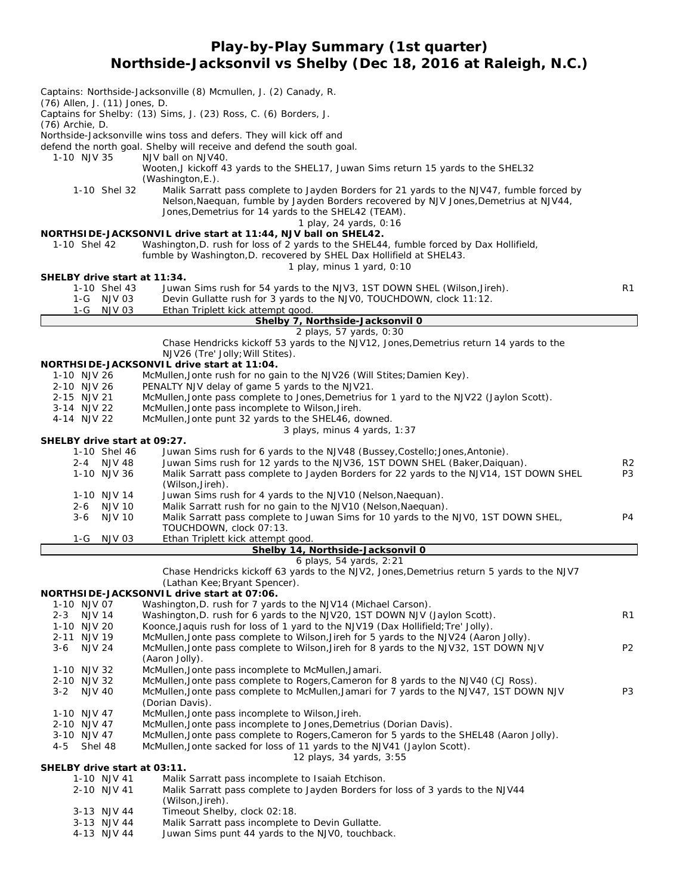**Play-by-Play Summary (1st quarter) Northside-Jacksonvil vs Shelby (Dec 18, 2016 at Raleigh, N.C.)**

*Captains: Northside-Jacksonville (8) Mcmullen, J. (2) Canady, R. (76) Allen, J. (11) Jones, D. Captains for Shelby: (13) Sims, J. (23) Ross, C. (6) Borders, J. (76) Archie, D. Northside-Jacksonville wins toss and defers. They will kick off and defend the north goal. Shelby will receive and defend the south goal.* 1-10 NJV 35 NJV ball on NJV40. Wooten,J kickoff 43 yards to the SHEL17, Juwan Sims return 15 yards to the SHEL32 (Washington,E.). 1-10 Shel 32 Malik Sarratt pass complete to Jayden Borders for 21 yards to the NJV47, fumble forced by Nelson, Naequan, fumble by Jayden Borders recovered by NJV Jones, Demetrius at NJV44, Jones, Demetrius for 14 yards to the SHEL42 (TEAM). *1 play, 24 yards, 0:16* **NORTHSIDE-JACKSONVIL drive start at 11:44, NJV ball on SHEL42.** 1-10 Shel 42 Washington,D. rush for loss of 2 yards to the SHEL44, fumble forced by Dax Hollifield, fumble by Washington,D. recovered by SHEL Dax Hollifield at SHEL43. *1 play, minus 1 yard, 0:10* **SHELBY drive start at 11:34.** 1-10 Shel 43 Juwan Sims rush for 54 yards to the NJV3, 1ST DOWN SHEL (Wilson,Jireh). R1 1-G NJV 03 Devin Gullatte rush for 3 yards to the NJV0, TOUCHDOWN, clock 11:12. 1-G NJV 03 Ethan Triplett kick attempt good **Shelby 7, Northside-Jacksonvil 0** *2 plays, 57 yards, 0:30* Chase Hendricks kickoff 53 yards to the NJV12, Jones,Demetrius return 14 yards to the NJV26 (Tre' Jolly;Will Stites). **NORTHSIDE-JACKSONVIL drive start at 11:04.** 1-10 NJV 26 McMullen, Jonte rush for no gain to the NJV26 (Will Stites; Damien Key). 2-10 NJV 26 PENALTY NJV delay of game 5 yards to the NJV21. 2-15 NJV 21 McMullen,Jonte pass complete to Jones,Demetrius for 1 yard to the NJV22 (Jaylon Scott). 3-14 NJV 22 McMullen,Jonte pass incomplete to Wilson,Jireh. 4-14 NJV 22 McMullen,Jonte punt 32 yards to the SHEL46, downed. *3 plays, minus 4 yards, 1:37* **SHELBY drive start at 09:27.** 1-10 Shel 46 Juwan Sims rush for 6 yards to the NJV48 (Bussey,Costello;Jones,Antonie). 2-4 NJV 48 Juwan Sims rush for 12 yards to the NJV36, 1ST DOWN SHEL (Baker,Daiquan). R2 1-10 NJV 36 Malik Sarratt pass complete to Jayden Borders for 22 yards to the NJV14, 1ST DOWN SHEL P3 (Wilson,Jireh). 1-10 NJV 14 Juwan Sims rush for 4 yards to the NJV10 (Nelson,Naequan). 2-6 NJV 10 Malik Sarratt rush for no gain to the NJV10 (Nelson, Naequan).<br>3-6 NJV 10 Malik Sarratt pass complete to Juwan Sims for 10 yards to the Malik Sarratt pass complete to Juwan Sims for 10 yards to the NJV0, 1ST DOWN SHEL, P4 TOUCHDOWN, clock 07:13. 1-G NJV 03 Ethan Triplett kick attempt good. **Shelby 14, Northside-Jacksonvil 0** *6 plays, 54 yards, 2:21* Chase Hendricks kickoff 63 yards to the NJV2, Jones,Demetrius return 5 yards to the NJV7 (Lathan Kee;Bryant Spencer). **NORTHSIDE-JACKSONVIL drive start at 07:06.** 1-10 NJV 07 Washington,D. rush for 7 yards to the NJV14 (Michael Carson). 2-3 NJV 14 Washington, D. rush for 6 yards to the NJV20, 1ST DOWN NJV (Jaylon Scott). 1-10 NJV 20 Koonce,Jaquis rush for loss of 1 yard to the NJV19 (Dax Hollifield;Tre' Jolly). 2-11 NJV 19 McMullen,Jonte pass complete to Wilson,Jireh for 5 yards to the NJV24 (Aaron Jolly). 3-6 NJV 24 McMullen,Jonte pass complete to Wilson,Jireh for 8 yards to the NJV32, 1ST DOWN NJV P2 (Aaron Jolly). 1-10 NJV 32 McMullen,Jonte pass incomplete to McMullen,Jamari. 2-10 NJV 32 McMullen,Jonte pass complete to Rogers,Cameron for 8 yards to the NJV40 (CJ Ross). 3-2 NJV 40 McMullen,Jonte pass complete to McMullen,Jamari for 7 yards to the NJV47, 1ST DOWN NJV P3 (Dorian Davis). 1-10 NJV 47 McMullen,Jonte pass incomplete to Wilson,Jireh. 2-10 NJV 47 McMullen, Jonte pass incomplete to Jones, Demetrius (Dorian Davis).<br>3-10 NJV 47 McMullen. Jonte pass complete to Rogers. Cameron for 5 vards to the McMullen,Jonte pass complete to Rogers,Cameron for 5 yards to the SHEL48 (Aaron Jolly). 4-5 Shel 48 McMullen,Jonte sacked for loss of 11 yards to the NJV41 (Jaylon Scott). *12 plays, 34 yards, 3:55* **SHELBY drive start at 03:11.** 1-10 NJV 41 Malik Sarratt pass incomplete to Isaiah Etchison. 2-10 NJV 41 Malik Sarratt pass complete to Jayden Borders for loss of 3 yards to the NJV44 (Wilson,Jireh). 3-13 NJV 44 Timeout Shelby, clock 02:18. 3-13 NJV 44 Malik Sarratt pass incomplete to Devin Gullatte. Juwan Sims punt 44 yards to the NJV0, touchback.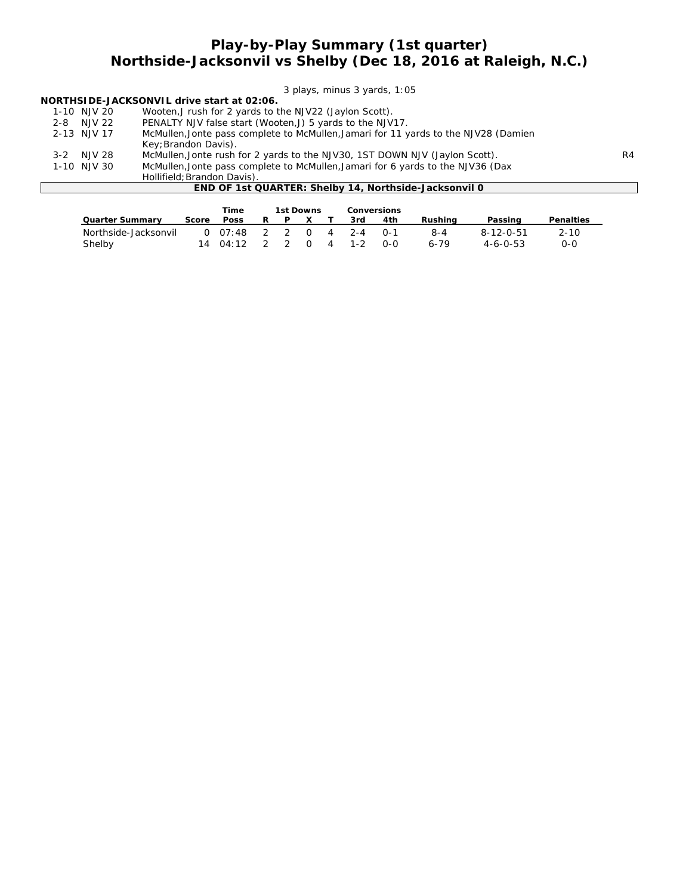## **Play-by-Play Summary (1st quarter) Northside-Jacksonvil vs Shelby (Dec 18, 2016 at Raleigh, N.C.)**

*3 plays, minus 3 yards, 1:05*

| NORTHSIDE-JACKSONVIL drive start at 02:06. |  |  |  |  |
|--------------------------------------------|--|--|--|--|
|--------------------------------------------|--|--|--|--|

| 1-10 NJV 20 | Wooten, J rush for 2 yards to the NJV22 (Jaylon Scott).                                                                                                                                                                                                                                                            |
|-------------|--------------------------------------------------------------------------------------------------------------------------------------------------------------------------------------------------------------------------------------------------------------------------------------------------------------------|
|             | $\mathcal{L}$ , and $\mathcal{L}$ and $\mathcal{L}$ and $\mathcal{L}$ and $\mathcal{L}$ and $\mathcal{L}$ and $\mathcal{L}$ and $\mathcal{L}$ and $\mathcal{L}$ and $\mathcal{L}$ and $\mathcal{L}$ and $\mathcal{L}$ and $\mathcal{L}$ and $\mathcal{L}$ and $\mathcal{L}$ and $\mathcal{L}$ and $\mathcal{L}$ an |

2-8 NJV 22 PENALTY NJV false start (Wooten,J) 5 yards to the NJV17.

|       | 2-13 NJV 17 | McMullen, Jonte pass complete to McMullen, Jamari for 11 yards to the NJV28 (Damien |                |
|-------|-------------|-------------------------------------------------------------------------------------|----------------|
|       |             | Key; Brandon Davis).                                                                |                |
| $3-2$ | N.JV 28     | McMullen, Jonte rush for 2 yards to the NJV30, 1ST DOWN NJV (Jaylon Scott).         | R <sub>4</sub> |
|       | 1-10 NJV 30 | McMullen, Jonte pass complete to McMullen, Jamari for 6 yards to the NJV36 (Dax     |                |
|       |             |                                                                                     |                |

wowunen, Johne pass comp<br>Hollifield; Brandon Davis).

#### **END OF 1st QUARTER: Shelby 14, Northside-Jacksonvil 0**

|                                |       | Time                                |   | 1st Downs |          |   | Conversions      |              |                 |                               |                 |
|--------------------------------|-------|-------------------------------------|---|-----------|----------|---|------------------|--------------|-----------------|-------------------------------|-----------------|
| Quarter Summary                | Score | <b>Poss</b>                         | R |           |          |   | 3rd              | 4th          | Rushina         | Passing                       | Penalties       |
| Northside-Jacksonvil<br>Shelby |       | $0$ 07:48 2 2 0<br>$14 \quad 04:12$ |   |           | $\Omega$ | 4 | 4 2-4<br>$1 - 2$ | ∩-1<br>$O-O$ | 8-4<br>$6 - 79$ | 8-12-0-51<br>$4 - 6 - 0 - 53$ | $2 - 10$<br>0-0 |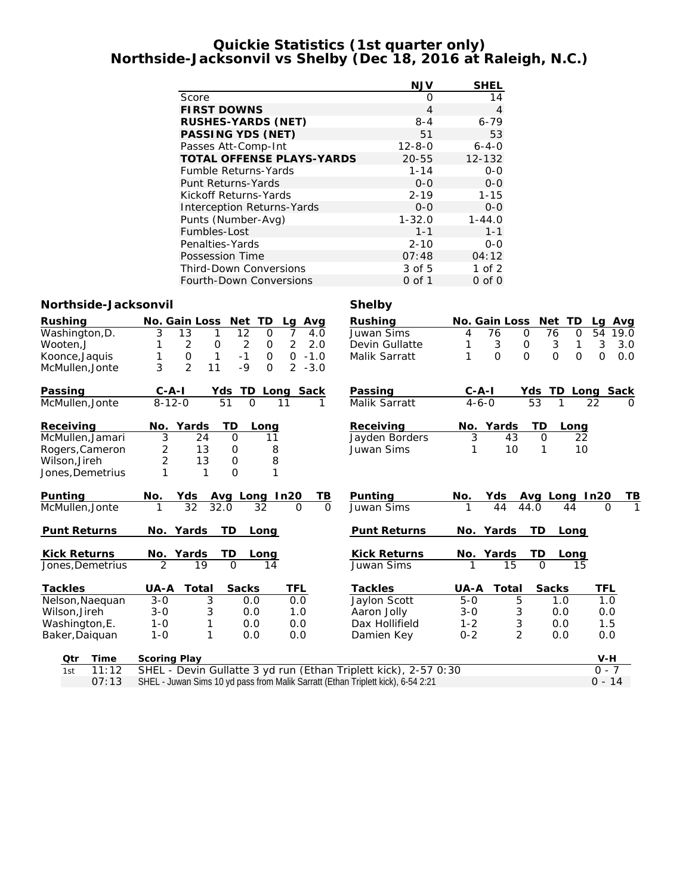#### **Quickie Statistics (1st quarter only) Northside-Jacksonvil vs Shelby (Dec 18, 2016 at Raleigh, N.C.)**

|                                  | <b>NJV</b>   | <b>SHEL</b> |
|----------------------------------|--------------|-------------|
| Score                            | ∩            | 14          |
| <b>FIRST DOWNS</b>               | 4            | 4           |
| RUSHES-YARDS (NET)               | $8 - 4$      | $6 - 79$    |
| PASSING YDS (NET)                | 51           | 53          |
| Passes Att-Comp-Int              | $12 - 8 - 0$ | $6 - 4 - 0$ |
| <b>TOTAL OFFENSE PLAYS-YARDS</b> | $20 - 55$    | $12 - 132$  |
| <b>Fumble Returns-Yards</b>      | $1 - 14$     | $0 - 0$     |
| Punt Returns-Yards               | $0 - 0$      | $0 - 0$     |
| Kickoff Returns-Yards            | $2 - 19$     | $1 - 15$    |
| Interception Returns-Yards       | $0 - 0$      | $0 - 0$     |
| Punts (Number-Avg)               | $1 - 32.0$   | $1 - 44.0$  |
| Fumbles-Lost                     | $1 - 1$      | $1 - 1$     |
| Penalties-Yards                  | $2 - 10$     | $O-O$       |
| Possession Time                  | 07:48        | 04:12       |
| <b>Third-Down Conversions</b>    | 3 of 5       | 1 of $2$    |
| Fourth-Down Conversions          | 0 of 1       | $0$ of $0$  |

#### **Northside-Jacksonvil Shelby**

| Rushing             | No. Gain Loss<br>TD<br>Net<br>Avg<br>Lg                                            | Rushing             | TD<br>No. Gain Loss<br>Net                    | Avg<br>La         |
|---------------------|------------------------------------------------------------------------------------|---------------------|-----------------------------------------------|-------------------|
| Washington, D.      | 13<br>12<br>3<br>7<br>4.0<br>1<br>$\Omega$                                         | Juwan Sims          | 76<br>$\mathcal{O}$<br>76<br>$\mathbf 0$<br>4 | 54<br>19.0        |
| Wooten,J            | $\overline{c}$<br>$\overline{2}$<br>2<br>2.0<br>$\mathbf 0$<br>$\mathsf{O}\xspace$ | Devin Gullatte      | 3<br>3<br>1<br>O                              | 3<br>3.0          |
| Koonce, Jaquis      | $\mathbf 0$<br>$-1$<br>$\mathbf{1}$<br>$\mathsf{O}$<br>$\mathbf{O}$<br>$-1.0$<br>1 | Malik Sarratt       | $\Omega$<br>$\Omega$<br>$\Omega$<br>$\Omega$  | O<br>0.0          |
| McMullen, Jonte     | $\overline{2}$<br>3<br>$-9$<br>11<br>$2 - 3.0$<br>$\Omega$                         |                     |                                               |                   |
|                     |                                                                                    |                     |                                               |                   |
| Passing             | Sack<br>$C - A - I$<br>TD<br>Yds<br>Long                                           | Passing             | $C - A - I$<br>TD.<br>Yds                     | Sack<br>Long      |
| McMullen, Jonte     | $8 - 12 - 0$<br>51<br>$\Omega$<br>11<br>1                                          | Malik Sarratt       | 53<br>$4 - 6 - 0$<br>1                        | 22<br>$\Omega$    |
|                     |                                                                                    |                     |                                               |                   |
| Receiving           | Yards<br>TD<br>No.<br>Long                                                         | Receiving           | TD<br>Yards<br>No.<br>Long                    |                   |
| McMullen, Jamari    | $\overline{3}$<br>24<br>O<br>11                                                    | Jayden Borders      | 3<br>$\overline{22}$<br>43<br>$\overline{O}$  |                   |
| Rogers, Cameron     | 2<br>13<br>8<br>0                                                                  | Juwan Sims          | 10<br>10<br>1<br>1                            |                   |
| Wilson, Jireh       | $\overline{2}$<br>8<br>$\mathsf{O}\xspace$<br>13                                   |                     |                                               |                   |
| Jones,Demetrius     | $\Omega$<br>$\mathbf{1}$                                                           |                     |                                               |                   |
|                     |                                                                                    |                     |                                               |                   |
| Punting             | No.<br>In20<br>TВ<br>Yds<br>Avg Long                                               | Punting             | No.<br>Yds<br>Avg Long                        | In20<br>TВ        |
| McMullen, Jonte     | 32<br>32.0<br>32<br>$\Omega$<br>1<br>$\Omega$                                      | Juwan Sims          | 44<br>44.0<br>44                              | $\Omega$          |
|                     |                                                                                    |                     |                                               |                   |
| <b>Punt Returns</b> | TD<br>No. Yards<br>Long                                                            | <b>Punt Returns</b> | TD<br>Yards<br>No.<br>Long                    |                   |
|                     |                                                                                    |                     |                                               |                   |
| <b>Kick Returns</b> | No. Yards<br>TD<br>Long                                                            | <b>Kick Returns</b> | TD<br>No. Yards<br>Long                       |                   |
| Jones, Demetrius    | $\overline{2}$<br>$\Omega$<br>19<br>14                                             | Juwan Sims          | 15<br>$\Omega$<br>15                          |                   |
| Tackles             | Total<br>Sacks<br>TFL<br>UA-A                                                      | Tackles             | Sacks<br>Total<br>UA-A                        | TFL               |
| Nelson, Naequan     | $3 - 0$<br>3<br>0.0<br>0.0                                                         | Jaylon Scott        | $5-0$<br>5<br>1.0                             | $\overline{1}$ .0 |
| Wilson, Jireh       | 3<br>$3 - 0$<br>0.0<br>1.0                                                         | Aaron Jolly         | $3 - 0$<br>3<br>0.0                           | 0.0               |
| Washington, E.      | $1 - 0$<br>0.0<br>0.0<br>1                                                         | Dax Hollifield      | 3<br>$1 - 2$<br>0.0                           | 1.5               |
| Baker, Daiquan      | 1<br>$1 - 0$<br>0.0<br>0.0                                                         | Damien Key          | $\overline{2}$<br>$0 - 2$<br>0.0              | 0.0               |
|                     |                                                                                    |                     |                                               |                   |
| Time<br>Qtr         | Scoring Play                                                                       |                     |                                               | $V-H$             |
| 11:12<br>1st        | SHEL - Devin Gullatte 3 yd run (Ethan Triplett kick), 2-57 0:30                    |                     |                                               | $0 - 7$           |
|                     |                                                                                    |                     |                                               |                   |

O7:13 SHEL - Juwan Sims 10 yd pass from Malik Sarratt (Ethan Triplett kick), 6-54 2:21 0 - 14 0 - 14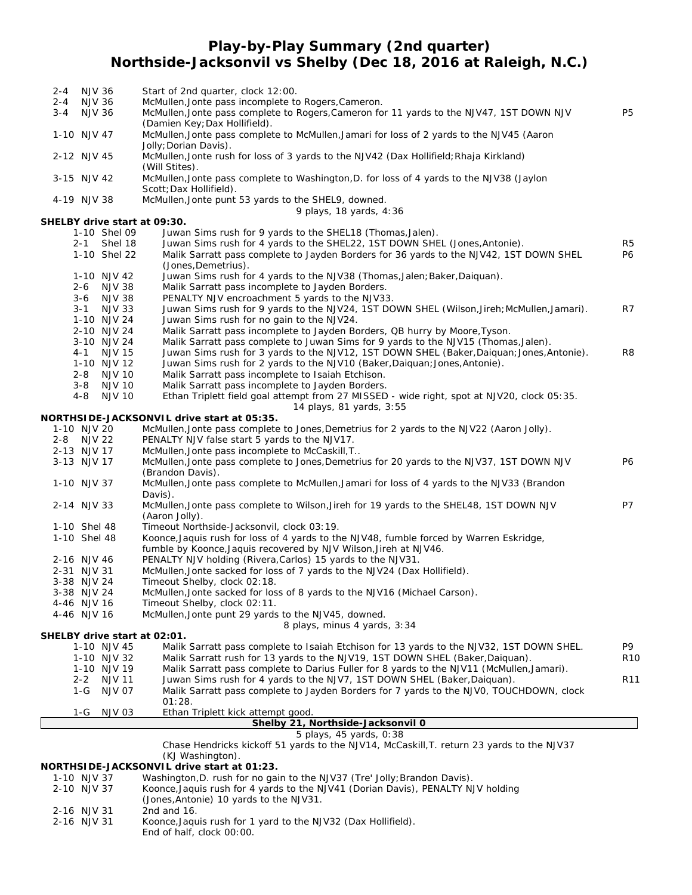## **Play-by-Play Summary (2nd quarter) Northside-Jacksonvil vs Shelby (Dec 18, 2016 at Raleigh, N.C.)**

| 2-4                       | <b>NJV 36</b> |                          | Start of 2nd quarter, clock 12:00.                                                                              |                 |
|---------------------------|---------------|--------------------------|-----------------------------------------------------------------------------------------------------------------|-----------------|
| $2 - 4$                   | <b>NJV 36</b> |                          | McMullen, Jonte pass incomplete to Rogers, Cameron.                                                             |                 |
| $3 - 4$                   | <b>NJV 36</b> |                          | McMullen, Jonte pass complete to Rogers, Cameron for 11 yards to the NJV47, 1ST DOWN NJV                        | <b>P5</b>       |
|                           |               |                          | (Damien Key; Dax Hollifield).                                                                                   |                 |
| 1-10 NJV 47               |               |                          | McMullen, Jonte pass complete to McMullen, Jamari for loss of 2 yards to the NJV45 (Aaron                       |                 |
| 2-12 NJV 45               |               |                          | Jolly; Dorian Davis).<br>McMullen, Jonte rush for loss of 3 yards to the NJV42 (Dax Hollifield; Rhaja Kirkland) |                 |
|                           |               |                          | (Will Stites).                                                                                                  |                 |
| 3-15 NJV 42               |               |                          | McMullen, Jonte pass complete to Washington, D. for loss of 4 yards to the NJV38 (Jaylon                        |                 |
|                           |               |                          | Scott; Dax Hollifield).                                                                                         |                 |
| 4-19 NJV 38               |               |                          | McMullen, Jonte punt 53 yards to the SHEL9, downed.                                                             |                 |
|                           |               |                          | 9 plays, 18 yards, 4:36                                                                                         |                 |
|                           |               |                          | SHELBY drive start at 09:30.                                                                                    |                 |
|                           |               | 1-10 Shel 09             | Juwan Sims rush for 9 yards to the SHEL18 (Thomas, Jalen).                                                      |                 |
|                           | $2 - 1$       | Shel 18                  | Juwan Sims rush for 4 yards to the SHEL22, 1ST DOWN SHEL (Jones, Antonie).                                      | R5              |
|                           |               | 1-10 Shel 22             | Malik Sarratt pass complete to Jayden Borders for 36 yards to the NJV42, 1ST DOWN SHEL                          | P6              |
|                           |               |                          | (Jones, Demetrius).                                                                                             |                 |
|                           |               | 1-10 NJV 42              | Juwan Sims rush for 4 yards to the NJV38 (Thomas, Jalen; Baker, Daiquan).                                       |                 |
|                           |               | 2-6 NJV 38<br>3-6 NJV 38 | Malik Sarratt pass incomplete to Jayden Borders.<br>PENALTY NJV encroachment 5 yards to the NJV33.              |                 |
|                           |               | 3-1 NJV 33               | Juwan Sims rush for 9 yards to the NJV24, 1ST DOWN SHEL (Wilson, Jireh; McMullen, Jamari).                      | R7              |
|                           |               | 1-10 NJV 24              | Juwan Sims rush for no gain to the NJV24.                                                                       |                 |
|                           |               | 2-10 NJV 24              | Malik Sarratt pass incomplete to Jayden Borders, QB hurry by Moore, Tyson.                                      |                 |
|                           |               | 3-10 NJV 24              | Malik Sarratt pass complete to Juwan Sims for 9 yards to the NJV15 (Thomas, Jalen).                             |                 |
|                           |               | 4-1 NJV 15               | Juwan Sims rush for 3 yards to the NJV12, 1ST DOWN SHEL (Baker, Daiquan; Jones, Antonie).                       | R <sub>8</sub>  |
|                           |               | 1-10 NJV 12              | Juwan Sims rush for 2 yards to the NJV10 (Baker, Daiguan; Jones, Antonie).                                      |                 |
|                           |               | 2-8 NJV 10               | Malik Sarratt pass incomplete to Isaiah Etchison.                                                               |                 |
|                           |               | 3-8 NJV 10               | Malik Sarratt pass incomplete to Jayden Borders.                                                                |                 |
|                           | $4 - 8$       | <b>NJV 10</b>            | Ethan Triplett field goal attempt from 27 MISSED - wide right, spot at NJV20, clock 05:35.                      |                 |
|                           |               |                          | 14 plays, 81 yards, 3:55                                                                                        |                 |
|                           |               |                          | NORTHSIDE-JACKSONVIL drive start at 05:35.                                                                      |                 |
| 1-10 NJV 20<br>2-8 NJV 22 |               |                          | McMullen, Jonte pass complete to Jones, Demetrius for 2 yards to the NJV22 (Aaron Jolly).                       |                 |
| 2-13 NJV 17               |               |                          | PENALTY NJV false start 5 yards to the NJV17.<br>McMullen, Jonte pass incomplete to McCaskill, T                |                 |
| 3-13 NJV 17               |               |                          | McMullen, Jonte pass complete to Jones, Demetrius for 20 yards to the NJV37, 1ST DOWN NJV                       | P6              |
|                           |               |                          | (Brandon Davis).                                                                                                |                 |
| 1-10 NJV 37               |               |                          | McMullen, Jonte pass complete to McMullen, Jamari for loss of 4 yards to the NJV33 (Brandon                     |                 |
|                           |               |                          | Davis).                                                                                                         |                 |
| 2-14 NJV 33               |               |                          | McMullen, Jonte pass complete to Wilson, Jireh for 19 yards to the SHEL48, 1ST DOWN NJV                         | P7              |
|                           |               |                          | (Aaron Jolly).                                                                                                  |                 |
| 1-10 Shel 48              |               |                          | Timeout Northside-Jacksonvil, clock 03:19.                                                                      |                 |
| 1-10 Shel 48              |               |                          | Koonce, Jaquis rush for loss of 4 yards to the NJV48, fumble forced by Warren Eskridge,                         |                 |
|                           |               |                          | fumble by Koonce, Jaquis recovered by NJV Wilson, Jireh at NJV46.                                               |                 |
| 2-16 NJV 46               |               |                          | PENALTY NJV holding (Rivera, Carlos) 15 yards to the NJV31.                                                     |                 |
| 2-31 NJV 31               | 3-38 NJV 24   |                          | McMullen, Jonte sacked for loss of 7 yards to the NJV24 (Dax Hollifield).<br>Timeout Shelby, clock 02:18.       |                 |
|                           | 3-38 NJV 24   |                          | McMullen, Jonte sacked for loss of 8 yards to the NJV16 (Michael Carson).                                       |                 |
| 4-46 NJV 16               |               |                          | Timeout Shelby, clock 02:11.                                                                                    |                 |
| 4-46 NJV 16               |               |                          | McMullen, Jonte punt 29 yards to the NJV45, downed.                                                             |                 |
|                           |               |                          | 8 plays, minus 4 yards, 3:34                                                                                    |                 |
|                           |               |                          | SHELBY drive start at 02:01.                                                                                    |                 |
|                           |               | 1-10 NJV 45              | Malik Sarratt pass complete to Isaiah Etchison for 13 yards to the NJV32, 1ST DOWN SHEL.                        | P9.             |
|                           |               | 1-10 NJV 32              | Malik Sarratt rush for 13 yards to the NJV19, 1ST DOWN SHEL (Baker, Daiquan).                                   | R <sub>10</sub> |
|                           |               | 1-10 NJV 19              | Malik Sarratt pass complete to Darius Fuller for 8 yards to the NJV11 (McMullen, Jamari).                       |                 |
|                           | $2 - 2$       | <b>NJV 11</b>            | Juwan Sims rush for 4 yards to the NJV7, 1ST DOWN SHEL (Baker, Daiquan).                                        | R <sub>11</sub> |
|                           | 1-G           | <b>NJV 07</b>            | Malik Sarratt pass complete to Jayden Borders for 7 yards to the NJVO, TOUCHDOWN, clock                         |                 |
|                           |               |                          | 01:28.                                                                                                          |                 |
|                           | 1-G           | <b>NJV 03</b>            | Ethan Triplett kick attempt good.<br>Shelby 21, Northside-Jacksonvil 0                                          |                 |
|                           |               |                          | 5 plays, 45 yards, 0:38                                                                                         |                 |
|                           |               |                          | Chase Hendricks kickoff 51 yards to the NJV14, McCaskill, T. return 23 yards to the NJV37                       |                 |
|                           |               |                          | (KJ Washington).                                                                                                |                 |
|                           |               |                          | NORTHSIDE-JACKSONVIL drive start at 01:23.                                                                      |                 |
| 1-10 NJV 37               |               |                          | Washington, D. rush for no gain to the NJV37 (Tre' Jolly; Brandon Davis).                                       |                 |
| 2-10 NJV 37               |               |                          | Koonce, Jaquis rush for 4 yards to the NJV41 (Dorian Davis), PENALTY NJV holding                                |                 |
|                           |               |                          | (Jones, Antonie) 10 yards to the NJV31.                                                                         |                 |
| 2-16 NJV 31               |               |                          | 2nd and 16.<br>NIN/22/N                                                                                         |                 |

2-16 NJV 31 Koonce,Jaquis rush for 1 yard to the NJV32 (Dax Hollifield). End of half, clock 00:00.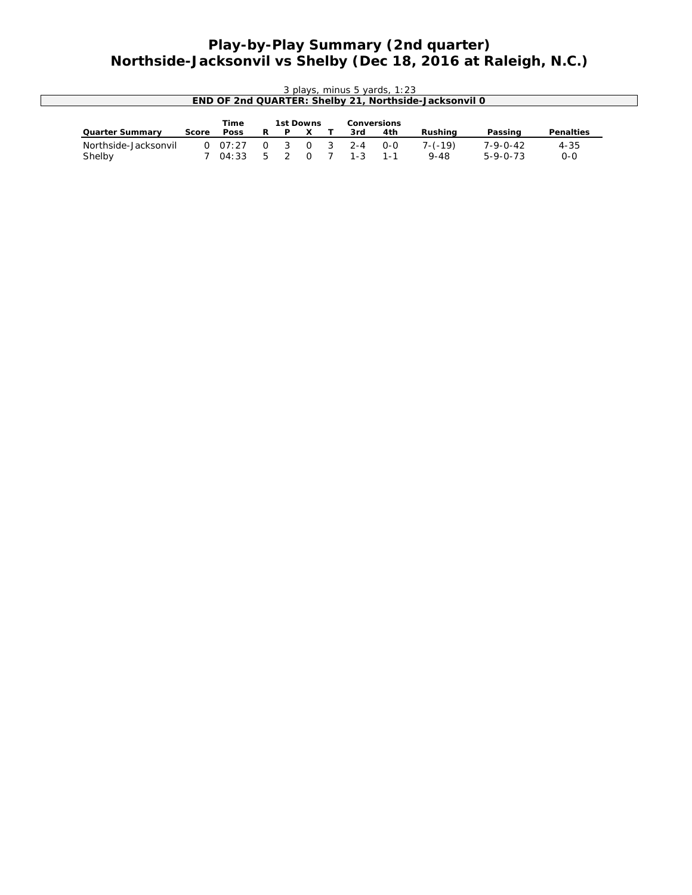## **Play-by-Play Summary (2nd quarter) Northside-Jacksonvil vs Shelby (Dec 18, 2016 at Raleigh, N.C.)**

|                                |       |                          |               |   |           |                | 3 plays, minus 5 yards, 1:23 | END OF 2nd QUARTER: Shelby 21, Northside-Jacksonvil 0 |                                      |                     |  |
|--------------------------------|-------|--------------------------|---------------|---|-----------|----------------|------------------------------|-------------------------------------------------------|--------------------------------------|---------------------|--|
| Quarter Summary                | Score | Time<br>Poss             | R.            | P | 1st Downs | 3rd            | Conversions<br>4th           | Rushing                                               | Passing                              | Penalties           |  |
| Northside-Jacksonvil<br>Shelby |       | $0 \quad 07:27$<br>04:33 | $\Omega$<br>5 |   | $\Omega$  | $2 - 4$<br>1-3 | $O-O$<br>1 - 1               | $7-(-19)$<br>9-48                                     | $7 - 9 - 0 - 42$<br>$5 - 9 - 0 - 73$ | $4 - 35$<br>$0 - 0$ |  |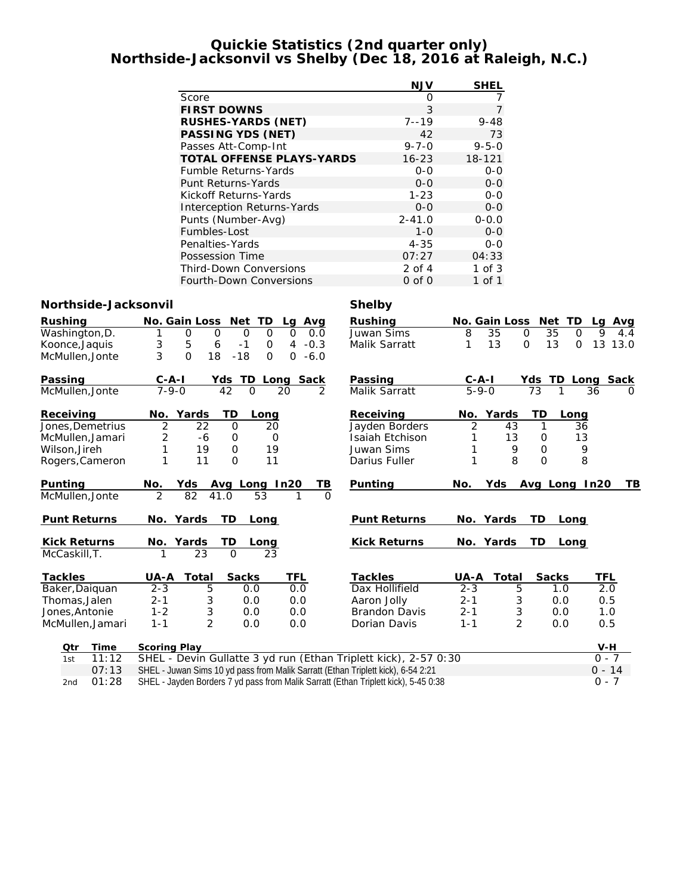#### **Quickie Statistics (2nd quarter only) Northside-Jacksonvil vs Shelby (Dec 18, 2016 at Raleigh, N.C.)**

|                                  | NJV         | SHEL        |
|----------------------------------|-------------|-------------|
| Score                            | Ω           |             |
| <b>FIRST DOWNS</b>               | 3           | 7           |
| RUSHES-YARDS (NET)               | $7 - 19$    | $9 - 48$    |
| PASSING YDS (NET)                | 42          | 73          |
| Passes Att-Comp-Int              | $9 - 7 - 0$ | $9 - 5 - 0$ |
| <b>TOTAL OFFENSE PLAYS-YARDS</b> | $16 - 23$   | 18-121      |
| <b>Fumble Returns-Yards</b>      | $0 - 0$     | $0 - 0$     |
| Punt Returns-Yards               | $O - O$     | $0 - 0$     |
| Kickoff Returns-Yards            | $1 - 23$    | $0 - 0$     |
| Interception Returns-Yards       | $0 - 0$     | $0 - 0$     |
| Punts (Number-Avg)               | $2 - 41.0$  | $0 - 0.0$   |
| Fumbles-Lost                     | $1 - 0$     | $0 - 0$     |
| Penalties-Yards                  | $4 - 35$    | $0 - 0$     |
| Possession Time                  | 07:27       | 04:33       |
| <b>Third-Down Conversions</b>    | $2$ of $4$  | $1$ of $3$  |
| <b>Fourth-Down Conversions</b>   | $0$ of $0$  | 1 of 1      |

#### **Northside-Jacksonvil Shelby**

| Rushing             | No. Gain Loss<br>TD<br>Net<br>Avg<br>La                                             | Rushing              | No. Gain Loss<br>Net<br><b>TD</b>    | Avg<br>La               |
|---------------------|-------------------------------------------------------------------------------------|----------------------|--------------------------------------|-------------------------|
| Washington, D.      | $\Omega$<br>$\Omega$<br>$\mathsf{O}$<br>$\mathbf 0$<br>$\mathbf 0$<br>0.0           | Juwan Sims           | 8<br>35<br>35<br>$\Omega$            | 9<br>O<br>4.4           |
| Koonce, Jaquis      | 3<br>5<br>6<br>$-1$<br>4<br>$-0.3$<br>0                                             | Malik Sarratt        | 13<br>13<br>$\overline{O}$           | 13 13.0<br>$\mathbf{O}$ |
| McMullen, Jonte     | 3<br>$\Omega$<br>18<br>$-18$<br>O<br>$-6.0$<br>$\Omega$                             |                      |                                      |                         |
| Passing             | Long Sack<br>TD.<br>$C - A - I$<br>Yds                                              | Passing              | TD<br>$C - A - I$<br>Yds             | Long Sack               |
| McMullen, Jonte     | $7 - 9 - 0$<br>42<br>$\overline{2}$<br>$\Omega$<br>20                               | Malik Sarratt        | $5 - 9 - 0$<br>73                    | 36<br>$\Omega$          |
| Receiving           | Yards<br>ТD<br>No.<br>Long                                                          | Receiving            | Yards<br>TD<br>No.<br>Long           |                         |
| Jones, Demetrius    | $\overline{2}$<br>$\Omega$<br>22<br>20                                              | Jayden Borders       | $\overline{2}$<br>$\mathbf{1}$<br>43 | 36                      |
| McMullen, Jamari    | 2<br>-6<br>0<br>0                                                                   | Isaiah Etchison      | 13<br>0                              | 13                      |
| Wilson, Jireh       | 1<br>19<br>19<br>$\circ$                                                            | Juwan Sims           | 9<br>$\Omega$<br>1                   | 9                       |
| Rogers, Cameron     | 1<br>11<br>$\Omega$<br>11                                                           | Darius Fuller        | 8<br>1<br>$\Omega$                   | 8                       |
| Punting             | In20<br>No.<br>Avg Long<br>TВ<br>Yds                                                | Punting              | Yds<br>No.<br>Avg Long               | ΤB<br>In20              |
| McMullen, Jonte     | $\overline{2}$<br>82<br>41.0<br>53<br>1                                             | $\Omega$             |                                      |                         |
| <b>Punt Returns</b> | No. Yards<br>TD<br>Long                                                             | Punt Returns         | No. Yards<br>TD.<br>Long             |                         |
| <b>Kick Returns</b> | TD<br>Yards<br>No.<br>Long                                                          | <b>Kick Returns</b>  | No. Yards<br><b>TD</b><br>Long       |                         |
| McCaskill, T.       | $\Omega$<br>23<br>23                                                                |                      |                                      |                         |
| <b>Tackles</b>      | TFL<br>Total<br>Sacks<br>UA-A                                                       | Tackles              | Sacks<br>Total<br>UA-A               | TFL                     |
| Baker, Daiquan      | $2 - 3$<br>5<br>0.0<br>0.0                                                          | Dax Hollifield       | $2 - 3$<br>5<br>1.0                  | 2.0                     |
| Thomas, Jalen       | 3<br>$2 - 1$<br>0.0<br>0.0                                                          | Aaron Jolly          | 3<br>$2 - 1$<br>0.0                  | 0.5                     |
| Jones. Antonie      | 3<br>$1 - 2$<br>0.0<br>0.0                                                          | <b>Brandon Davis</b> | 3<br>$2 - 1$<br>0.0                  | 1.0                     |
| McMullen, Jamari    | $\overline{2}$<br>$1 - 1$<br>0.0<br>0.0                                             | Dorian Davis         | $\overline{2}$<br>$1 - 1$<br>0.0     | 0.5                     |
| Time<br>Qtr         | Scoring Play                                                                        |                      |                                      | $V-H$                   |
| 11:12<br>1st        | SHEL - Devin Gullatte 3 yd run (Ethan Triplett kick), 2-57 0:30                     |                      |                                      | $0 - 7$                 |
| 07:13               | SHEL - Juwan Sims 10 yd pass from Malik Sarratt (Ethan Triplett kick), 6-54 2:21    |                      | $0 - 14$                             |                         |
| 01:28<br>2nd        | SHEL - Jayden Borders 7 yd pass from Malik Sarratt (Ethan Triplett kick), 5-45 0:38 |                      |                                      | $0 - 7$                 |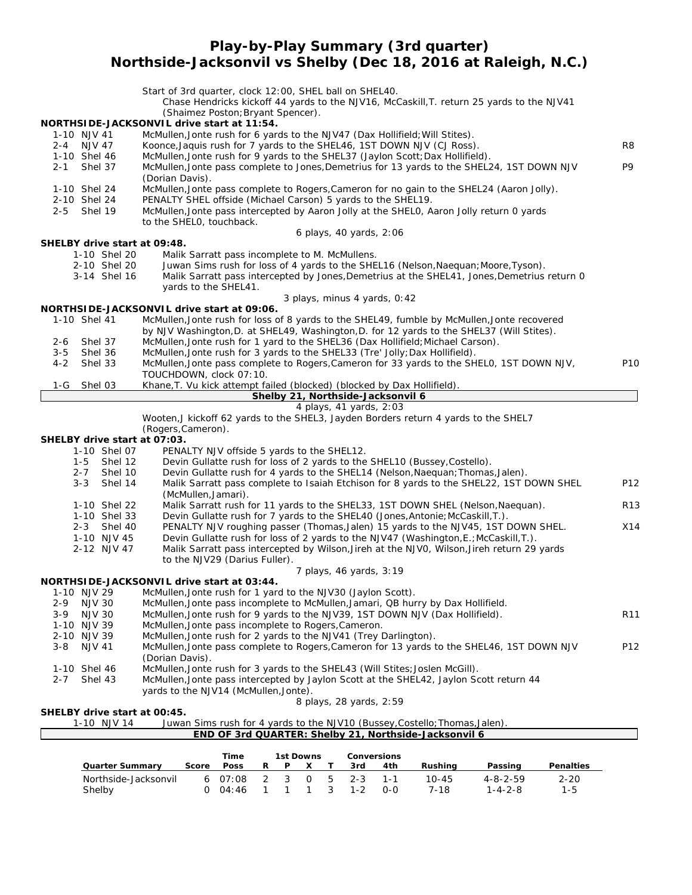**Play-by-Play Summary (3rd quarter)**

**Northside-Jacksonvil vs Shelby (Dec 18, 2016 at Raleigh, N.C.)**

|                                          | Start of 3rd quarter, clock 12:00, SHEL ball on SHEL40.<br>Chase Hendricks kickoff 44 yards to the NJV16, McCaskill, T. return 25 yards to the NJV41<br>(Shaimez Poston; Bryant Spencer). |                 |
|------------------------------------------|-------------------------------------------------------------------------------------------------------------------------------------------------------------------------------------------|-----------------|
| 1-10 NJV 41                              | NORTHSIDE-JACKSONVIL drive start at 11:54.<br>McMullen, Jonte rush for 6 yards to the NJV47 (Dax Hollifield; Will Stites).                                                                |                 |
| 2-4 NJV 47<br>1-10 Shel 46               | Koonce, Jaquis rush for 7 yards to the SHEL46, 1ST DOWN NJV (CJ Ross).<br>McMullen, Jonte rush for 9 yards to the SHEL37 (Jaylon Scott; Dax Hollifield).                                  | R8              |
| Shel 37<br>$2 - 1$                       | McMullen, Jonte pass complete to Jones, Demetrius for 13 yards to the SHEL24, 1ST DOWN NJV<br>(Dorian Davis).                                                                             | P <sub>9</sub>  |
| 1-10 Shel 24                             | McMullen, Jonte pass complete to Rogers, Cameron for no gain to the SHEL24 (Aaron Jolly).                                                                                                 |                 |
| 2-10 Shel 24<br>2-5 Shel 19              | PENALTY SHEL offside (Michael Carson) 5 yards to the SHEL19.<br>McMullen, Jonte pass intercepted by Aaron Jolly at the SHELO, Aaron Jolly return 0 yards<br>to the SHELO, touchback.      |                 |
|                                          | 6 plays, 40 yards, 2:06                                                                                                                                                                   |                 |
| SHELBY drive start at 09:48.             |                                                                                                                                                                                           |                 |
| 1-10 Shel 20<br>2-10 Shel 20             | Malik Sarratt pass incomplete to M. McMullens.<br>Juwan Sims rush for loss of 4 yards to the SHEL16 (Nelson, Naequan; Moore, Tyson).                                                      |                 |
| 3-14 Shel 16                             | Malik Sarratt pass intercepted by Jones, Demetrius at the SHEL41, Jones, Demetrius return 0<br>yards to the SHEL41.                                                                       |                 |
|                                          | 3 plays, minus 4 yards, 0:42                                                                                                                                                              |                 |
| 1-10 Shel 41                             | NORTHSIDE-JACKSONVIL drive start at 09:06.<br>McMullen, Jonte rush for loss of 8 yards to the SHEL49, fumble by McMullen, Jonte recovered                                                 |                 |
|                                          | by NJV Washington, D. at SHEL49, Washington, D. for 12 yards to the SHEL37 (Will Stites).                                                                                                 |                 |
| Shel 37<br>$2 - 6$                       | McMullen, Jonte rush for 1 yard to the SHEL36 (Dax Hollifield; Michael Carson).                                                                                                           |                 |
| $3 - 5$<br>Shel 36<br>$4 - 2$<br>Shel 33 | McMullen, Jonte rush for 3 yards to the SHEL33 (Tre' Jolly; Dax Hollifield).<br>McMullen, Jonte pass complete to Rogers, Cameron for 33 yards to the SHELO, 1ST DOWN NJV,                 | P10             |
|                                          | TOUCHDOWN, clock 07:10.                                                                                                                                                                   |                 |
| Shel 03<br>1-G                           | Khane, T. Vu kick attempt failed (blocked) (blocked by Dax Hollifield).                                                                                                                   |                 |
|                                          | Shelby 21, Northside-Jacksonvil 6<br>4 plays, 41 yards, 2:03                                                                                                                              |                 |
|                                          | Wooten, J kickoff 62 yards to the SHEL3, Jayden Borders return 4 yards to the SHEL7                                                                                                       |                 |
|                                          | (Rogers, Cameron).                                                                                                                                                                        |                 |
| SHELBY drive start at 07:03.             |                                                                                                                                                                                           |                 |
| 1-10 Shel 07<br>Shel 12<br>1-5           | PENALTY NJV offside 5 yards to the SHEL12.<br>Devin Gullatte rush for loss of 2 yards to the SHEL10 (Bussey, Costello).                                                                   |                 |
| $2 - 7$<br>Shel 10                       | Devin Gullatte rush for 4 yards to the SHEL14 (Nelson, Naequan; Thomas, Jalen).                                                                                                           |                 |
| Shel 14<br>$3 - 3$                       | Malik Sarratt pass complete to Isaiah Etchison for 8 yards to the SHEL22, 1ST DOWN SHEL<br>(McMullen, Jamari).                                                                            | P12             |
| 1-10 Shel 22                             | Malik Sarratt rush for 11 yards to the SHEL33, 1ST DOWN SHEL (Nelson, Naequan).                                                                                                           | R <sub>13</sub> |
| 1-10 Shel 33                             | Devin Gullatte rush for 7 yards to the SHEL40 (Jones, Antonie; McCaskill, T.).                                                                                                            |                 |
| 2-3 Shel 40                              | PENALTY NJV roughing passer (Thomas, Jalen) 15 yards to the NJV45, 1ST DOWN SHEL.                                                                                                         | X14             |
| 1-10 NJV 45<br>2-12 NJV 47               | Devin Gullatte rush for loss of 2 yards to the NJV47 (Washington, E.; McCaskill, T.).<br>Malik Sarratt pass intercepted by Wilson, Jireh at the NJVO, Wilson, Jireh return 29 yards       |                 |
|                                          | to the NJV29 (Darius Fuller).                                                                                                                                                             |                 |
|                                          | 7 plays, 46 yards, 3:19                                                                                                                                                                   |                 |
| 1-10 NJV 29                              | NORTHSIDE-JACKSONVIL drive start at 03:44.<br>McMullen, Jonte rush for 1 yard to the NJV30 (Jaylon Scott).                                                                                |                 |
| 2-9<br><b>NJV 30</b>                     | McMullen, Jonte pass incomplete to McMullen, Jamari, QB hurry by Dax Hollifield.                                                                                                          |                 |
| <b>NJV 30</b><br>$3-9$                   | McMullen, Jonte rush for 9 yards to the NJV39, 1ST DOWN NJV (Dax Hollifield).                                                                                                             | R <sub>11</sub> |
| 1-10 NJV 39                              | McMullen, Jonte pass incomplete to Rogers, Cameron.                                                                                                                                       |                 |
| 2-10 NJV 39<br>$3 - 8$<br><b>NJV 41</b>  | McMullen, Jonte rush for 2 yards to the NJV41 (Trey Darlington).<br>McMullen, Jonte pass complete to Rogers, Cameron for 13 yards to the SHEL46, 1ST DOWN NJV                             | P12             |
|                                          | (Dorian Davis).                                                                                                                                                                           |                 |
| 1-10 Shel 46                             | McMullen, Jonte rush for 3 yards to the SHEL43 (Will Stites; Joslen McGill).                                                                                                              |                 |
| Shel 43<br>$2 - 7$                       | McMullen, Jonte pass intercepted by Jaylon Scott at the SHEL42, Jaylon Scott return 44<br>yards to the NJV14 (McMullen, Jonte).                                                           |                 |
|                                          | 8 plays, 28 yards, 2:59                                                                                                                                                                   |                 |
| SHELBY drive start at 00:45.             |                                                                                                                                                                                           |                 |
| 1-10 NJV 14                              | Juwan Sims rush for 4 yards to the NJV10 (Bussey, Costello; Thomas, Jalen).                                                                                                               |                 |
|                                          | END OF 3rd QUARTER: Shelby 21, Northside-Jacksonvil 6                                                                                                                                     |                 |
|                                          | Time<br>1st Downs<br>Conversions                                                                                                                                                          |                 |
| Quarter Summary                          | Poss<br>Penalties<br>Score<br>R<br>P<br><u>4th</u><br><b>Rushing</b><br>Passing<br>X<br>Τ<br><u>3rd</u>                                                                                   |                 |
| Northside-Jacksonvil                     | 3<br>$\mathsf O$<br>5<br>6 07:08<br>$\overline{2}$<br>$2 - 3$<br>$1 - 1$<br>$10 - 45$<br>$4 - 8 - 2 - 59$<br>$2 - 20$                                                                     |                 |

Shelby 0 04:46 1 1 1 3 1-2 0-0 7-18 1-4-2-8 1-5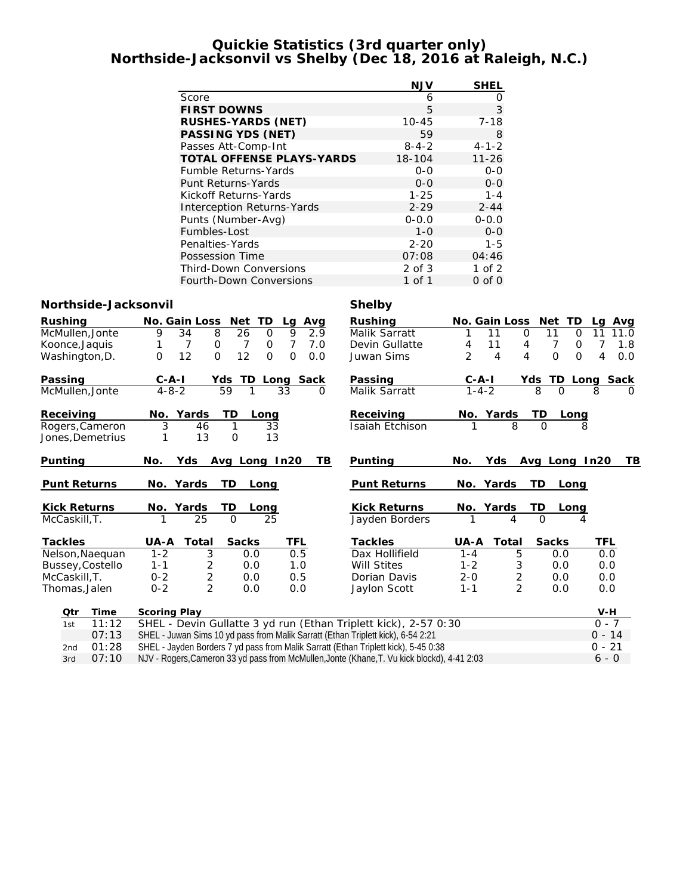#### **Quickie Statistics (3rd quarter only) Northside-Jacksonvil vs Shelby (Dec 18, 2016 at Raleigh, N.C.)**

|                                   | <b>NJV</b>  | <b>SHEL</b> |
|-----------------------------------|-------------|-------------|
| Score                             | 6           | O           |
| <b>FIRST DOWNS</b>                | 5           | 3           |
| RUSHES-YARDS (NET)                | $10 - 45$   | $7 - 18$    |
| PASSING YDS (NET)                 | 59          | 8           |
| Passes Att-Comp-Int               | $8 - 4 - 2$ | $4 - 1 - 2$ |
| TOTAL OFFENSE PLAYS-YARDS         | 18-104      | $11 - 26$   |
| <b>Fumble Returns-Yards</b>       | $0 - 0$     | $O-O$       |
| Punt Returns-Yards                | $0 - 0$     | $0 - 0$     |
| Kickoff Returns-Yards             | $1 - 25$    | $1 - 4$     |
| <b>Interception Returns-Yards</b> | $2 - 29$    | $2 - 44$    |
| Punts (Number-Avg)                | $0 - 0.0$   | $0 - 0.0$   |
| Fumbles-Lost                      | $1 - 0$     | $0 - 0$     |
| Penalties-Yards                   | $2 - 20$    | $1 - 5$     |
| Possession Time                   | 07:08       | 04:46       |
| <b>Third-Down Conversions</b>     | 2 of 3      | $1$ of $2$  |
| Fourth-Down Conversions           | 1 of 1      | $0$ of $0$  |

### **Northside-Jacksonvil Shelby**

| Rushing | McMullen, Jonte<br>Koonce, Jaquis<br>Washington, D. | No. Gain Loss<br>9<br>34<br>8<br>7<br>0<br>12<br>$\Omega$<br>$\Omega$                                  | Net TD<br>Avg<br>Lg<br>9<br>26<br>2.9<br>$\mathbf 0$<br>7<br>7.0<br>7<br>0<br>12<br>$\Omega$<br>$\Omega$<br>0.0 | Rushing<br>Malik Sarratt<br>Devin Gullatte<br>Juwan Sims | No. Gain Loss<br>11<br>11<br>4<br>$\overline{2}$<br>$\overline{4}$ | Net TD<br>11<br>$\mathbf 0$<br>$\Omega$<br>7<br>4<br>0<br>$\Omega$<br>$\overline{4}$<br>$\Omega$ | Avg<br>La<br>11<br>11.0<br>7<br>1.8<br>4<br>0.0 |  |  |  |  |
|---------|-----------------------------------------------------|--------------------------------------------------------------------------------------------------------|-----------------------------------------------------------------------------------------------------------------|----------------------------------------------------------|--------------------------------------------------------------------|--------------------------------------------------------------------------------------------------|-------------------------------------------------|--|--|--|--|
| Passing | McMullen, Jonte                                     | $C - A - I$<br>Yds<br>$4 - 8 - 2$<br>59                                                                | TD<br>Long Sack<br>1<br>33<br>$\Omega$                                                                          | Passing<br>Malik Sarratt                                 | $C$ -A-I<br>$1 - 4 - 2$                                            | TD<br>Yds<br>8<br>$\Omega$                                                                       | Long Sack<br>8<br>$\Omega$                      |  |  |  |  |
|         | Receiving<br>Rogers, Cameron<br>Jones,Demetrius     | TD<br>Yards<br>No.<br>3<br>46<br>13<br>1                                                               | Long<br>1<br>33<br>13<br>$\mathcal{O}$                                                                          | Receiving<br>Isaiah Etchison                             | No. Yards<br>8                                                     | TD<br>Long<br>$\Omega$                                                                           | 8                                               |  |  |  |  |
| Punting |                                                     | Yds<br>No.                                                                                             | Avg Long In20<br>TВ                                                                                             | Punting                                                  | Yds<br>No.                                                         | Avg Long In20                                                                                    | ΤB                                              |  |  |  |  |
|         | Punt Returns                                        | No. Yards<br>TD                                                                                        | Long                                                                                                            | Punt Returns                                             | No. Yards                                                          | TD<br>Long                                                                                       |                                                 |  |  |  |  |
|         | <b>Kick Returns</b><br>McCaskill, T.                | No. Yards<br>TD<br>25                                                                                  | Long<br>$\Omega$<br>25                                                                                          | <b>Kick Returns</b><br>Jayden Borders                    | No. Yards<br>4                                                     | TD<br>Long<br>$\Omega$                                                                           |                                                 |  |  |  |  |
| Tackles |                                                     | Total<br>UA-A                                                                                          | TFL<br>Sacks                                                                                                    | Tackles                                                  | UA-A<br>Total                                                      | Sacks                                                                                            | TFL                                             |  |  |  |  |
|         | Nelson, Naequan                                     | $1 - 2$<br>3                                                                                           | 0.5<br>0.0                                                                                                      | Dax Hollifield                                           | $1 - 4$<br>5                                                       | 0.0                                                                                              | 0.0                                             |  |  |  |  |
|         | Bussey, Costello                                    | 2<br>$1 - 1$                                                                                           | 1.0<br>0.0                                                                                                      | <b>Will Stites</b>                                       | $1 - 2$<br>3                                                       | 0.0                                                                                              | 0.0                                             |  |  |  |  |
|         | McCaskill, T.<br>Thomas, Jalen                      | $\sqrt{2}$<br>$0 - 2$<br>$\overline{2}$<br>$0 - 2$                                                     | 0.5<br>0.0<br>0.0<br>0.0                                                                                        | Dorian Davis<br>Jaylon Scott                             | $\overline{c}$<br>$2 - 0$<br>$\overline{2}$<br>$1 - 1$             | 0.0<br>0.0                                                                                       | 0.0<br>0.0                                      |  |  |  |  |
|         | Qtr<br>Time                                         | Scoring Play                                                                                           |                                                                                                                 |                                                          |                                                                    |                                                                                                  | $V-H$<br>$0 - 7$                                |  |  |  |  |
|         | 11:12<br>1st                                        | SHEL - Devin Gullatte 3 yd run (Ethan Triplett kick), 2-57 0:30                                        |                                                                                                                 |                                                          |                                                                    |                                                                                                  |                                                 |  |  |  |  |
|         | 07:13                                               |                                                                                                        | SHEL - Juwan Sims 10 yd pass from Malik Sarratt (Ethan Triplett kick), 6-54 2:21                                |                                                          |                                                                    |                                                                                                  | $0 - 14$                                        |  |  |  |  |
|         | 01:28<br>2nd                                        |                                                                                                        | SHEL - Jayden Borders 7 yd pass from Malik Sarratt (Ethan Triplett kick), 5-45 0:38                             |                                                          |                                                                    |                                                                                                  | $0 - 21$                                        |  |  |  |  |
|         | 07:10<br>3rd                                        | NJV - Rogers, Cameron 33 yd pass from McMullen, Jonte (Khane, T. Vu kick blockd), 4-41 2:03<br>$6 - 0$ |                                                                                                                 |                                                          |                                                                    |                                                                                                  |                                                 |  |  |  |  |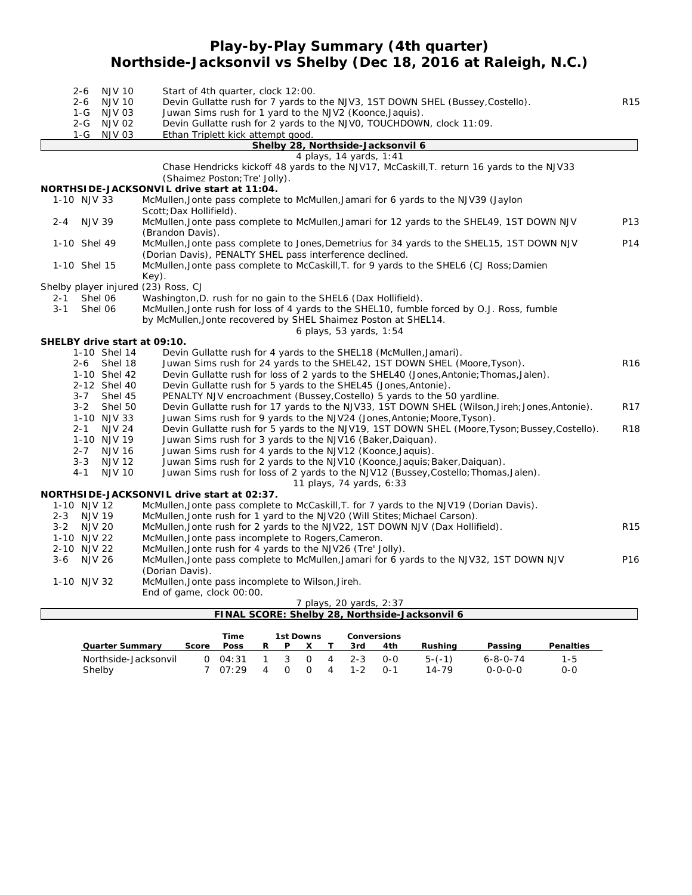# **Play-by-Play Summary (4th quarter) Northside-Jacksonvil vs Shelby (Dec 18, 2016 at Raleigh, N.C.)**

|         | $2 - 6$<br>$2 - 6$         | <b>NJV 10</b><br><b>NJV 10</b> |                                            |       | Start of 4th quarter, clock 12:00.                             |              |   |              |                |         |                                   |                                                                                                                                            | Devin Gullatte rush for 7 yards to the NJV3, 1ST DOWN SHEL (Bussey, Costello).                |           | <b>R15</b>      |
|---------|----------------------------|--------------------------------|--------------------------------------------|-------|----------------------------------------------------------------|--------------|---|--------------|----------------|---------|-----------------------------------|--------------------------------------------------------------------------------------------------------------------------------------------|-----------------------------------------------------------------------------------------------|-----------|-----------------|
|         |                            | 1-G NJV 03                     |                                            |       | Juwan Sims rush for 1 yard to the NJV2 (Koonce, Jaquis).       |              |   |              |                |         |                                   |                                                                                                                                            |                                                                                               |           |                 |
|         |                            | 2-G NJV 02                     |                                            |       |                                                                |              |   |              |                |         |                                   | Devin Gullatte rush for 2 yards to the NJVO, TOUCHDOWN, clock 11:09.                                                                       |                                                                                               |           |                 |
|         | 1-G                        | <b>NJV 03</b>                  |                                            |       | Ethan Triplett kick attempt good.                              |              |   |              |                |         |                                   |                                                                                                                                            |                                                                                               |           |                 |
|         |                            |                                |                                            |       |                                                                |              |   |              |                |         | Shelby 28, Northside-Jacksonvil 6 |                                                                                                                                            |                                                                                               |           |                 |
|         |                            |                                |                                            |       |                                                                |              |   |              |                |         | 4 plays, 14 yards, 1:41           |                                                                                                                                            |                                                                                               |           |                 |
|         |                            |                                |                                            |       | (Shaimez Poston; Tre' Jolly).                                  |              |   |              |                |         |                                   |                                                                                                                                            | Chase Hendricks kickoff 48 yards to the NJV17, McCaskill, T. return 16 yards to the NJV33     |           |                 |
|         |                            |                                | NORTHSIDE-JACKSONVIL drive start at 11:04. |       |                                                                |              |   |              |                |         |                                   |                                                                                                                                            |                                                                                               |           |                 |
|         | 1-10 NJV 33                |                                |                                            |       |                                                                |              |   |              |                |         |                                   | McMullen, Jonte pass complete to McMullen, Jamari for 6 yards to the NJV39 (Jaylon                                                         |                                                                                               |           |                 |
|         |                            |                                | Scott; Dax Hollifield).                    |       |                                                                |              |   |              |                |         |                                   |                                                                                                                                            |                                                                                               |           |                 |
| $2 - 4$ |                            | <b>NJV 39</b>                  | (Brandon Davis).                           |       |                                                                |              |   |              |                |         |                                   |                                                                                                                                            | McMullen, Jonte pass complete to McMullen, Jamari for 12 yards to the SHEL49, 1ST DOWN NJV    |           | P13             |
|         | 1-10 Shel 49               |                                |                                            |       |                                                                |              |   |              |                |         |                                   |                                                                                                                                            | McMullen, Jonte pass complete to Jones, Demetrius for 34 yards to the SHEL15, 1ST DOWN NJV    |           | P14             |
|         |                            |                                |                                            |       | (Dorian Davis), PENALTY SHEL pass interference declined.       |              |   |              |                |         |                                   |                                                                                                                                            |                                                                                               |           |                 |
|         | 1-10 Shel 15               |                                |                                            |       |                                                                |              |   |              |                |         |                                   |                                                                                                                                            | McMullen, Jonte pass complete to McCaskill, T. for 9 yards to the SHEL6 (CJ Ross; Damien      |           |                 |
|         |                            |                                | Key).                                      |       |                                                                |              |   |              |                |         |                                   |                                                                                                                                            |                                                                                               |           |                 |
|         |                            |                                | Shelby player injured (23) Ross, CJ        |       |                                                                |              |   |              |                |         |                                   |                                                                                                                                            |                                                                                               |           |                 |
| $2 - 1$ |                            | Shel 06                        |                                            |       | Washington, D. rush for no gain to the SHEL6 (Dax Hollifield). |              |   |              |                |         |                                   |                                                                                                                                            |                                                                                               |           |                 |
| $3 - 1$ |                            | Shel 06                        |                                            |       |                                                                |              |   |              |                |         |                                   |                                                                                                                                            | McMullen, Jonte rush for loss of 4 yards to the SHEL10, fumble forced by O.J. Ross, fumble    |           |                 |
|         |                            |                                |                                            |       | by McMullen, Jonte recovered by SHEL Shaimez Poston at SHEL14. |              |   |              |                |         |                                   |                                                                                                                                            |                                                                                               |           |                 |
|         |                            |                                |                                            |       |                                                                |              |   |              |                |         | 6 plays, 53 yards, 1:54           |                                                                                                                                            |                                                                                               |           |                 |
|         |                            |                                | SHELBY drive start at 09:10.               |       |                                                                |              |   |              |                |         |                                   |                                                                                                                                            |                                                                                               |           |                 |
|         |                            | 1-10 Shel 14                   |                                            |       |                                                                |              |   |              |                |         |                                   | Devin Gullatte rush for 4 yards to the SHEL18 (McMullen, Jamari).                                                                          |                                                                                               |           |                 |
|         | $2 - 6$                    | Shel 18                        |                                            |       |                                                                |              |   |              |                |         |                                   | Juwan Sims rush for 24 yards to the SHEL42, 1ST DOWN SHEL (Moore, Tyson).                                                                  |                                                                                               |           | R <sub>16</sub> |
|         |                            | 1-10 Shel 42                   |                                            |       |                                                                |              |   |              |                |         |                                   |                                                                                                                                            | Devin Gullatte rush for loss of 2 yards to the SHEL40 (Jones, Antonie; Thomas, Jalen).        |           |                 |
|         | $3 - 7$                    | 2-12 Shel 40<br>Shel 45        |                                            |       |                                                                |              |   |              |                |         |                                   | Devin Gullatte rush for 5 yards to the SHEL45 (Jones, Antonie).<br>PENALTY NJV encroachment (Bussey, Costello) 5 yards to the 50 yardline. |                                                                                               |           |                 |
|         | $3 - 2$                    | Shel 50                        |                                            |       |                                                                |              |   |              |                |         |                                   |                                                                                                                                            | Devin Gullatte rush for 17 yards to the NJV33, 1ST DOWN SHEL (Wilson, Jireh; Jones, Antonie). |           | R <sub>17</sub> |
|         |                            | 1-10 NJV 33                    |                                            |       |                                                                |              |   |              |                |         |                                   | Juwan Sims rush for 9 yards to the NJV24 (Jones, Antonie; Moore, Tyson).                                                                   |                                                                                               |           |                 |
|         |                            | 2-1 NJV 24                     |                                            |       |                                                                |              |   |              |                |         |                                   |                                                                                                                                            | Devin Gullatte rush for 5 yards to the NJV19, 1ST DOWN SHEL (Moore, Tyson; Bussey, Costello). |           | <b>R18</b>      |
|         |                            | 1-10 NJV 19                    |                                            |       | Juwan Sims rush for 3 yards to the NJV16 (Baker, Daiquan).     |              |   |              |                |         |                                   |                                                                                                                                            |                                                                                               |           |                 |
|         | $2 - 7$                    | <b>NJV 16</b>                  |                                            |       | Juwan Sims rush for 4 yards to the NJV12 (Koonce, Jaquis).     |              |   |              |                |         |                                   |                                                                                                                                            |                                                                                               |           |                 |
|         | $3 - 3$                    | <b>NJV 12</b>                  |                                            |       |                                                                |              |   |              |                |         |                                   | Juwan Sims rush for 2 yards to the NJV10 (Koonce, Jaquis; Baker, Daiquan).                                                                 |                                                                                               |           |                 |
|         | $4 - 1$                    | <b>NJV 10</b>                  |                                            |       |                                                                |              |   |              |                |         |                                   |                                                                                                                                            | Juwan Sims rush for loss of 2 yards to the NJV12 (Bussey, Costello; Thomas, Jalen).           |           |                 |
|         |                            |                                |                                            |       |                                                                |              |   |              |                |         | 11 plays, 74 yards, 6:33          |                                                                                                                                            |                                                                                               |           |                 |
|         |                            |                                | NORTHSIDE-JACKSONVIL drive start at 02:37. |       |                                                                |              |   |              |                |         |                                   |                                                                                                                                            |                                                                                               |           |                 |
|         | 1-10 NJV 12                |                                |                                            |       |                                                                |              |   |              |                |         |                                   |                                                                                                                                            | McMullen, Jonte pass complete to McCaskill, T. for 7 yards to the NJV19 (Dorian Davis).       |           |                 |
| $2 - 3$ |                            | <b>NJV 19</b>                  |                                            |       |                                                                |              |   |              |                |         |                                   | McMullen, Jonte rush for 1 yard to the NJV20 (Will Stites; Michael Carson).                                                                |                                                                                               |           |                 |
|         | 3-2 NJV 20                 |                                |                                            |       |                                                                |              |   |              |                |         |                                   | McMullen, Jonte rush for 2 yards to the NJV22, 1ST DOWN NJV (Dax Hollifield).                                                              |                                                                                               |           | R <sub>15</sub> |
|         | 1-10 NJV 22<br>2-10 NJV 22 |                                |                                            |       | McMullen, Jonte pass incomplete to Rogers, Cameron.            |              |   |              |                |         |                                   |                                                                                                                                            |                                                                                               |           |                 |
|         | 3-6 NJV 26                 |                                |                                            |       | McMullen, Jonte rush for 4 yards to the NJV26 (Tre' Jolly).    |              |   |              |                |         |                                   |                                                                                                                                            | McMullen, Jonte pass complete to McMullen, Jamari for 6 yards to the NJV32, 1ST DOWN NJV      |           | P <sub>16</sub> |
|         |                            |                                | (Dorian Davis).                            |       |                                                                |              |   |              |                |         |                                   |                                                                                                                                            |                                                                                               |           |                 |
|         | 1-10 NJV 32                |                                |                                            |       | McMullen, Jonte pass incomplete to Wilson, Jireh.              |              |   |              |                |         |                                   |                                                                                                                                            |                                                                                               |           |                 |
|         |                            |                                |                                            |       | End of game, clock 00:00.                                      |              |   |              |                |         |                                   |                                                                                                                                            |                                                                                               |           |                 |
|         |                            |                                |                                            |       |                                                                |              |   |              |                |         | 7 plays, 20 yards, 2:37           |                                                                                                                                            |                                                                                               |           |                 |
|         |                            |                                |                                            |       |                                                                |              |   |              |                |         |                                   | FINAL SCORE: Shelby 28, Northside-Jacksonvil 6                                                                                             |                                                                                               |           |                 |
|         |                            |                                |                                            |       |                                                                |              |   |              |                |         |                                   |                                                                                                                                            |                                                                                               |           |                 |
|         |                            |                                |                                            |       | Time                                                           |              |   | 1st Downs    |                |         | Conversions                       |                                                                                                                                            |                                                                                               |           |                 |
|         |                            | Quarter Summary                |                                            | Score | Poss                                                           | R            | P | X            | $\top$         | 3rd     | 4th                               | Rushing                                                                                                                                    | Passing                                                                                       | Penalties |                 |
|         |                            | Northside-Jacksonvil           |                                            |       | $0$ $04:31$                                                    | $\mathbf{1}$ | 3 | $\mathbf{O}$ | $\overline{4}$ | $2 - 3$ | $0 - 0$                           | $5-(-1)$                                                                                                                                   | $6 - 8 - 0 - 74$                                                                              | $1 - 5$   |                 |

Shelby 7 07:29 4 0 0 4 1-2 0-1 14-79 0-0-0-0 0-0